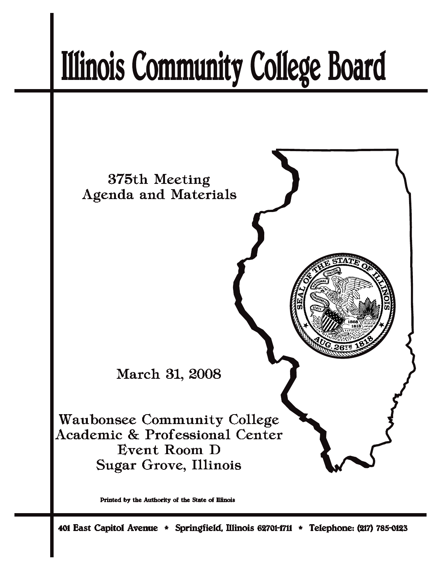# **Illinois Community College Board**



Printed by the Authority of the State of Illinois

401 East Capitol Avenue \* Springfield, Illinois 62701-1711 \* Telephone: (217) 785-0123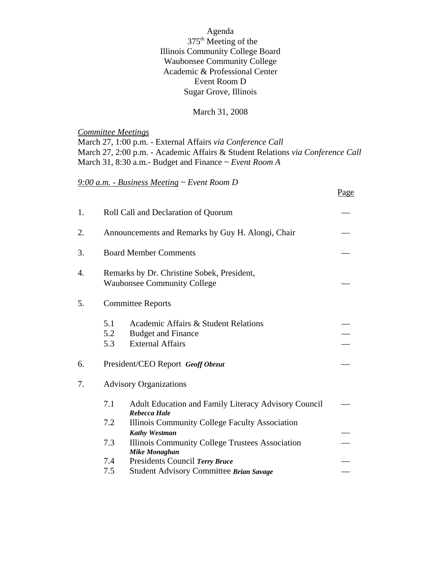Agenda 375th Meeting of the Illinois Community College Board Waubonsee Community College Academic & Professional Center Event Room D Sugar Grove, Illinois

#### March 31, 2008

*Committee Meetings* March 27, 1:00 p.m. - External Affairs *via Conference Call* March 27, 2:00 p.m. - Academic Affairs & Student Relations *via Conference Call* March 31, 8:30 a.m.- Budget and Finance ~ *Event Room A*

## *9:00 a.m. - Business Meeting* ~ *Event Room D*

|    |                   |                                                                                              | Page |  |  |  |  |
|----|-------------------|----------------------------------------------------------------------------------------------|------|--|--|--|--|
| 1. |                   | Roll Call and Declaration of Quorum                                                          |      |  |  |  |  |
| 2. |                   | Announcements and Remarks by Guy H. Alongi, Chair                                            |      |  |  |  |  |
| 3. |                   | <b>Board Member Comments</b>                                                                 |      |  |  |  |  |
| 4. |                   | Remarks by Dr. Christine Sobek, President,<br><b>Waubonsee Community College</b>             |      |  |  |  |  |
| 5. |                   | <b>Committee Reports</b>                                                                     |      |  |  |  |  |
|    | 5.1<br>5.2<br>5.3 | Academic Affairs & Student Relations<br><b>Budget and Finance</b><br><b>External Affairs</b> |      |  |  |  |  |
| 6. |                   | President/CEO Report Geoff Obrzut                                                            |      |  |  |  |  |
| 7. |                   | <b>Advisory Organizations</b>                                                                |      |  |  |  |  |
|    | 7.1               | Adult Education and Family Literacy Advisory Council<br><b>Rebecca Hale</b>                  |      |  |  |  |  |
|    | 7.2               | Illinois Community College Faculty Association<br><b>Kathy Westman</b>                       |      |  |  |  |  |
|    | 7.3               | Illinois Community College Trustees Association<br><b>Mike Monaghan</b>                      |      |  |  |  |  |
|    | 7.4               | Presidents Council Terry Bruce                                                               |      |  |  |  |  |
|    | 7.5               | Student Advisory Committee Brian Savage                                                      |      |  |  |  |  |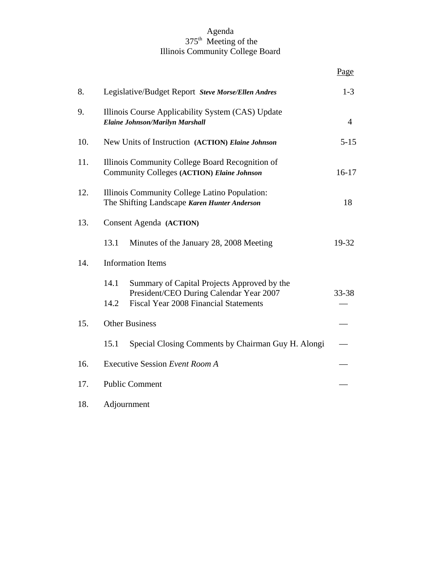#### Agenda 375<sup>th</sup> Meeting of the Illinois Community College Board

|     |                                                                                               |                                                                                                                                        | <u>Page</u>    |  |  |  |  |
|-----|-----------------------------------------------------------------------------------------------|----------------------------------------------------------------------------------------------------------------------------------------|----------------|--|--|--|--|
| 8.  |                                                                                               | Legislative/Budget Report Steve Morse/Ellen Andres                                                                                     | $1-3$          |  |  |  |  |
| 9.  | <b>Elaine Johnson/Marilyn Marshall</b>                                                        | Illinois Course Applicability System (CAS) Update                                                                                      | $\overline{4}$ |  |  |  |  |
| 10. |                                                                                               | New Units of Instruction (ACTION) Elaine Johnson                                                                                       | $5 - 15$       |  |  |  |  |
| 11. |                                                                                               | Illinois Community College Board Recognition of<br>Community Colleges (ACTION) Elaine Johnson                                          |                |  |  |  |  |
| 12. | Illinois Community College Latino Population:<br>The Shifting Landscape Karen Hunter Anderson |                                                                                                                                        |                |  |  |  |  |
| 13. | <b>Consent Agenda (ACTION)</b>                                                                |                                                                                                                                        |                |  |  |  |  |
|     | 13.1                                                                                          | Minutes of the January 28, 2008 Meeting                                                                                                | 19-32          |  |  |  |  |
| 14. | <b>Information Items</b>                                                                      |                                                                                                                                        |                |  |  |  |  |
|     | 14.1<br>14.2                                                                                  | Summary of Capital Projects Approved by the<br>President/CEO During Calendar Year 2007<br><b>Fiscal Year 2008 Financial Statements</b> | 33-38          |  |  |  |  |
| 15. | <b>Other Business</b>                                                                         |                                                                                                                                        |                |  |  |  |  |
|     | 15.1                                                                                          | Special Closing Comments by Chairman Guy H. Alongi                                                                                     |                |  |  |  |  |
| 16. | Executive Session Event Room A                                                                |                                                                                                                                        |                |  |  |  |  |
| 17. | <b>Public Comment</b>                                                                         |                                                                                                                                        |                |  |  |  |  |
| 18. | Adjournment                                                                                   |                                                                                                                                        |                |  |  |  |  |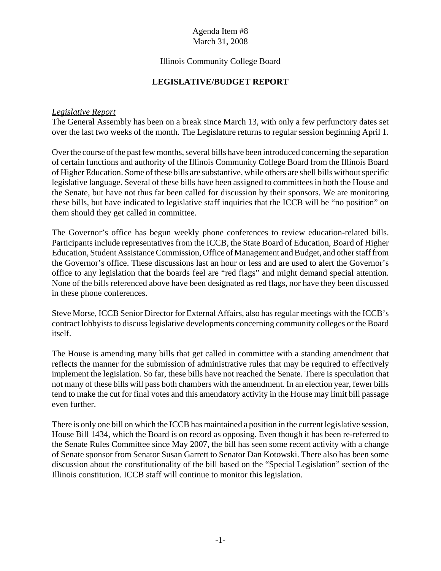#### Illinois Community College Board

#### **LEGISLATIVE/BUDGET REPORT**

#### *Legislative Report*

The General Assembly has been on a break since March 13, with only a few perfunctory dates set over the last two weeks of the month. The Legislature returns to regular session beginning April 1.

Over the course of the past few months, several bills have been introduced concerning the separation of certain functions and authority of the Illinois Community College Board from the Illinois Board of Higher Education. Some of these bills are substantive, while others are shell bills without specific legislative language. Several of these bills have been assigned to committees in both the House and the Senate, but have not thus far been called for discussion by their sponsors. We are monitoring these bills, but have indicated to legislative staff inquiries that the ICCB will be "no position" on them should they get called in committee.

The Governor's office has begun weekly phone conferences to review education-related bills. Participants include representatives from the ICCB, the State Board of Education, Board of Higher Education, Student Assistance Commission, Office of Management and Budget, and other staff from the Governor's office. These discussions last an hour or less and are used to alert the Governor's office to any legislation that the boards feel are "red flags" and might demand special attention. None of the bills referenced above have been designated as red flags, nor have they been discussed in these phone conferences.

Steve Morse, ICCB Senior Director for External Affairs, also has regular meetings with the ICCB's contract lobbyists to discuss legislative developments concerning community colleges or the Board itself.

The House is amending many bills that get called in committee with a standing amendment that reflects the manner for the submission of administrative rules that may be required to effectively implement the legislation. So far, these bills have not reached the Senate. There is speculation that not many of these bills will pass both chambers with the amendment. In an election year, fewer bills tend to make the cut for final votes and this amendatory activity in the House may limit bill passage even further.

There is only one bill on which the ICCB has maintained a position in the current legislative session, House Bill 1434, which the Board is on record as opposing. Even though it has been re-referred to the Senate Rules Committee since May 2007, the bill has seen some recent activity with a change of Senate sponsor from Senator Susan Garrett to Senator Dan Kotowski. There also has been some discussion about the constitutionality of the bill based on the "Special Legislation" section of the Illinois constitution. ICCB staff will continue to monitor this legislation.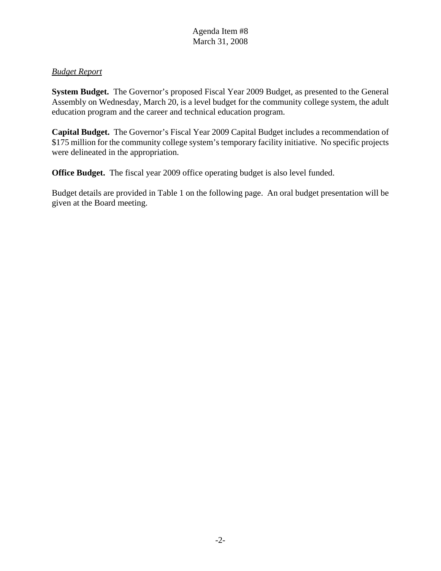# *Budget Report*

**System Budget.** The Governor's proposed Fiscal Year 2009 Budget, as presented to the General Assembly on Wednesday, March 20, is a level budget for the community college system, the adult education program and the career and technical education program.

**Capital Budget.** The Governor's Fiscal Year 2009 Capital Budget includes a recommendation of \$175 million for the community college system's temporary facility initiative. No specific projects were delineated in the appropriation.

**Office Budget.** The fiscal year 2009 office operating budget is also level funded.

Budget details are provided in Table 1 on the following page. An oral budget presentation will be given at the Board meeting.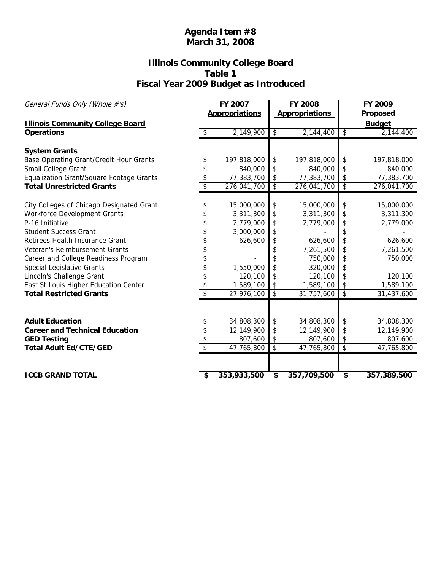# **Illinois Community College Board Table 1 Fiscal Year 2009 Budget as Introduced**

| General Funds Only (Whole #'s)                               |                 | FY 2007<br><b>Appropriations</b> |                          | <b>FY 2008</b><br><b>Appropriations</b> |                          | FY 2009<br>Proposed        |  |
|--------------------------------------------------------------|-----------------|----------------------------------|--------------------------|-----------------------------------------|--------------------------|----------------------------|--|
| <b>Illinois Community College Board</b><br><b>Operations</b> | $\frac{1}{2}$   | 2,149,900                        | \$                       | 2,144,400                               | $\sqrt[6]{\frac{1}{2}}$  | <b>Budget</b><br>2,144,400 |  |
| <b>System Grants</b>                                         |                 |                                  |                          |                                         |                          |                            |  |
| Base Operating Grant/Credit Hour Grants                      | \$              | 197,818,000                      | \$                       | 197,818,000                             | \$                       | 197,818,000                |  |
| Small College Grant                                          | \$              | 840,000                          | \$                       | 840,000                                 | \$                       | 840,000                    |  |
| Equalization Grant/Square Footage Grants                     | \$              | 77,383,700                       | \$                       | 77,383,700                              | \$                       | 77,383,700                 |  |
| <b>Total Unrestricted Grants</b>                             | $\overline{\$}$ | 276,041,700                      | $\overline{\mathcal{E}}$ | 276,041,700                             | $\overline{\mathcal{E}}$ | 276,041,700                |  |
|                                                              |                 |                                  |                          |                                         |                          |                            |  |
| City Colleges of Chicago Designated Grant                    | \$              | 15,000,000                       | \$                       | 15,000,000                              | \$                       | 15,000,000                 |  |
| <b>Workforce Development Grants</b>                          | \$              | 3,311,300                        | \$                       | 3,311,300                               | \$                       | 3,311,300                  |  |
| P-16 Initiative                                              | \$              | 2,779,000                        | \$                       | 2,779,000                               | \$                       | 2,779,000                  |  |
| <b>Student Success Grant</b>                                 | \$              | 3,000,000                        | \$                       |                                         | \$                       |                            |  |
| Retirees Health Insurance Grant                              | \$              | 626,600                          | \$                       | 626,600                                 | \$                       | 626,600                    |  |
| Veteran's Reimbursement Grants                               | \$              |                                  | \$                       | 7,261,500                               | \$                       | 7,261,500                  |  |
| Career and College Readiness Program                         | \$              |                                  | \$                       | 750,000                                 | \$                       | 750,000                    |  |
| <b>Special Legislative Grants</b>                            | \$              | 1,550,000                        | \$                       | 320,000                                 | \$                       |                            |  |
| Lincoln's Challenge Grant                                    | \$              | 120,100                          |                          | 120,100                                 | \$                       | 120,100                    |  |
| East St Louis Higher Education Center                        | \$              | 1,589,100                        | \$                       | 1,589,100                               | \$                       | 1,589,100                  |  |
| <b>Total Restricted Grants</b>                               | $\overline{\$}$ | 27,976,100                       | $\overline{\mathcal{E}}$ | 31,757,600                              | $\overline{\mathcal{S}}$ | 31,437,600                 |  |
|                                                              |                 |                                  |                          |                                         |                          |                            |  |
| <b>Adult Education</b>                                       | \$              | 34,808,300                       | \$                       | 34,808,300                              | \$                       | 34,808,300                 |  |
| <b>Career and Technical Education</b>                        | \$              | 12,149,900                       | \$                       | 12,149,900                              | \$                       | 12,149,900                 |  |
| <b>GED Testing</b>                                           | \$              | 807,600                          | \$                       | 807,600                                 | \$                       | 807,600                    |  |
| <b>Total Adult Ed/CTE/GED</b>                                | $\overline{\$}$ | 47,765,800                       | $\overline{\$}$          | 47,765,800                              | $\overline{\$}$          | 47,765,800                 |  |
|                                                              |                 |                                  |                          |                                         |                          |                            |  |
| <b>ICCB GRAND TOTAL</b>                                      |                 | 353,933,500                      | \$                       | 357,709,500                             | \$                       | 357,389,500                |  |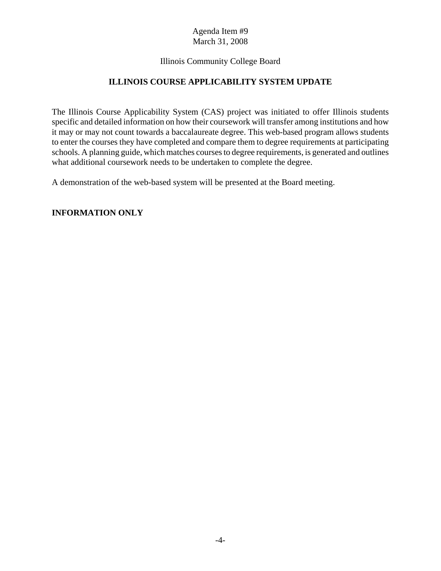## Illinois Community College Board

# **ILLINOIS COURSE APPLICABILITY SYSTEM UPDATE**

The Illinois Course Applicability System (CAS) project was initiated to offer Illinois students specific and detailed information on how their coursework will transfer among institutions and how it may or may not count towards a baccalaureate degree. This web-based program allows students to enter the courses they have completed and compare them to degree requirements at participating schools. A planning guide, which matches courses to degree requirements, is generated and outlines what additional coursework needs to be undertaken to complete the degree.

A demonstration of the web-based system will be presented at the Board meeting.

#### **INFORMATION ONLY**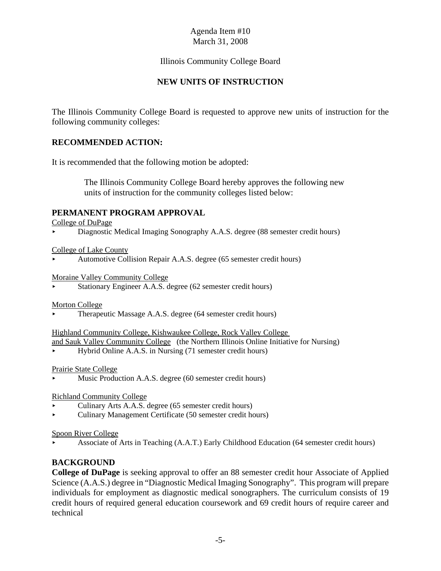# Illinois Community College Board

# **NEW UNITS OF INSTRUCTION**

The Illinois Community College Board is requested to approve new units of instruction for the following community colleges:

#### **RECOMMENDED ACTION:**

It is recommended that the following motion be adopted:

 The Illinois Community College Board hereby approves the following new units of instruction for the community colleges listed below:

#### **PERMANENT PROGRAM APPROVAL**

College of DuPage

< Diagnostic Medical Imaging Sonography A.A.S. degree (88 semester credit hours)

College of Lake County

< Automotive Collision Repair A.A.S. degree (65 semester credit hours)

Moraine Valley Community College

Stationary Engineer A.A.S. degree (62 semester credit hours)

Morton College

< Therapeutic Massage A.A.S. degree (64 semester credit hours)

#### Highland Community College, Kishwaukee College, Rock Valley College

- and Sauk Valley Community College (the Northern Illinois Online Initiative for Nursing)
- < Hybrid Online A.A.S. in Nursing (71 semester credit hours)

Prairie State College

Music Production A.A.S. degree (60 semester credit hours)

#### Richland Community College

- < Culinary Arts A.A.S. degree (65 semester credit hours)
- < Culinary Management Certificate (50 semester credit hours)

#### Spoon River College

< Associate of Arts in Teaching (A.A.T.) Early Childhood Education (64 semester credit hours)

#### **BACKGROUND**

**College of DuPage** is seeking approval to offer an 88 semester credit hour Associate of Applied Science (A.A.S.) degree in "Diagnostic Medical Imaging Sonography". This program will prepare individuals for employment as diagnostic medical sonographers. The curriculum consists of 19 credit hours of required general education coursework and 69 credit hours of require career and technical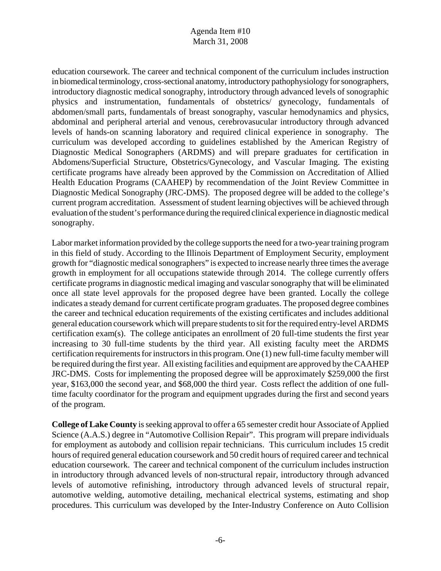education coursework. The career and technical component of the curriculum includes instruction in biomedical terminology, cross-sectional anatomy, introductory pathophysiology for sonographers, introductory diagnostic medical sonography, introductory through advanced levels of sonographic physics and instrumentation, fundamentals of obstetrics/ gynecology, fundamentals of abdomen/small parts, fundamentals of breast sonography, vascular hemodynamics and physics, abdominal and peripheral arterial and venous, cerebrovasucular introductory through advanced levels of hands-on scanning laboratory and required clinical experience in sonography. The curriculum was developed according to guidelines established by the American Registry of Diagnostic Medical Sonographers (ARDMS) and will prepare graduates for certification in Abdomens/Superficial Structure, Obstetrics/Gynecology, and Vascular Imaging. The existing certificate programs have already been approved by the Commission on Accreditation of Allied Health Education Programs (CAAHEP) by recommendation of the Joint Review Committee in Diagnostic Medical Sonography (JRC-DMS). The proposed degree will be added to the college's current program accreditation. Assessment of student learning objectives will be achieved through evaluation of the student's performance during the required clinical experience in diagnostic medical sonography.

Labor market information provided by the college supports the need for a two-year training program in this field of study. According to the Illinois Department of Employment Security, employment growth for "diagnostic medical sonographers" is expected to increase nearly three times the average growth in employment for all occupations statewide through 2014. The college currently offers certificate programs in diagnostic medical imaging and vascular sonography that will be eliminated once all state level approvals for the proposed degree have been granted. Locally the college indicates a steady demand for current certificate program graduates. The proposed degree combines the career and technical education requirements of the existing certificates and includes additional general education coursework which will prepare students to sit for the required entry-level ARDMS certification exam(s). The college anticipates an enrollment of 20 full-time students the first year increasing to 30 full-time students by the third year. All existing faculty meet the ARDMS certification requirements for instructors in this program. One (1) new full-time faculty member will be required during the first year. All existing facilities and equipment are approved by the CAAHEP JRC-DMS. Costs for implementing the proposed degree will be approximately \$259,000 the first year, \$163,000 the second year, and \$68,000 the third year. Costs reflect the addition of one fulltime faculty coordinator for the program and equipment upgrades during the first and second years of the program.

**College of Lake County** is seeking approval to offer a 65 semester credit hour Associate of Applied Science (A.A.S.) degree in "Automotive Collision Repair". This program will prepare individuals for employment as autobody and collision repair technicians. This curriculum includes 15 credit hours of required general education coursework and 50 credit hours of required career and technical education coursework. The career and technical component of the curriculum includes instruction in introductory through advanced levels of non-structural repair, introductory through advanced levels of automotive refinishing, introductory through advanced levels of structural repair, automotive welding, automotive detailing, mechanical electrical systems, estimating and shop procedures. This curriculum was developed by the Inter-Industry Conference on Auto Collision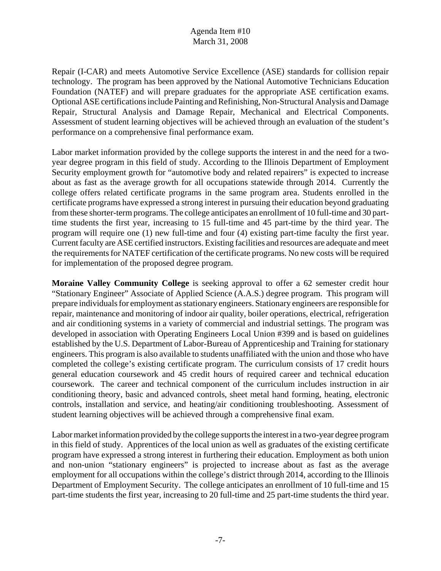Repair (I-CAR) and meets Automotive Service Excellence (ASE) standards for collision repair technology. The program has been approved by the National Automotive Technicians Education Foundation (NATEF) and will prepare graduates for the appropriate ASE certification exams. Optional ASE certifications include Painting and Refinishing, Non-Structural Analysis and Damage Repair, Structural Analysis and Damage Repair, Mechanical and Electrical Components. Assessment of student learning objectives will be achieved through an evaluation of the student's performance on a comprehensive final performance exam.

Labor market information provided by the college supports the interest in and the need for a twoyear degree program in this field of study. According to the Illinois Department of Employment Security employment growth for "automotive body and related repairers" is expected to increase about as fast as the average growth for all occupations statewide through 2014. Currently the college offers related certificate programs in the same program area. Students enrolled in the certificate programs have expressed a strong interest in pursuing their education beyond graduating from these shorter-term programs. The college anticipates an enrollment of 10 full-time and 30 parttime students the first year, increasing to 15 full-time and 45 part-time by the third year. The program will require one (1) new full-time and four (4) existing part-time faculty the first year. Current faculty are ASE certified instructors. Existing facilities and resources are adequate and meet the requirements for NATEF certification of the certificate programs. No new costs will be required for implementation of the proposed degree program.

**Moraine Valley Community College** is seeking approval to offer a 62 semester credit hour "Stationary Engineer" Associate of Applied Science (A.A.S.) degree program. This program will prepare individuals for employment as stationary engineers. Stationary engineers are responsible for repair, maintenance and monitoring of indoor air quality, boiler operations, electrical, refrigeration and air conditioning systems in a variety of commercial and industrial settings. The program was developed in association with Operating Engineers Local Union #399 and is based on guidelines established by the U.S. Department of Labor-Bureau of Apprenticeship and Training for stationary engineers. This program is also available to students unaffiliated with the union and those who have completed the college's existing certificate program. The curriculum consists of 17 credit hours general education coursework and 45 credit hours of required career and technical education coursework. The career and technical component of the curriculum includes instruction in air conditioning theory, basic and advanced controls, sheet metal hand forming, heating, electronic controls, installation and service, and heating/air conditioning troubleshooting. Assessment of student learning objectives will be achieved through a comprehensive final exam.

Labor market information provided by the college supports the interest in a two-year degree program in this field of study. Apprentices of the local union as well as graduates of the existing certificate program have expressed a strong interest in furthering their education. Employment as both union and non-union "stationary engineers" is projected to increase about as fast as the average employment for all occupations within the college's district through 2014, according to the Illinois Department of Employment Security. The college anticipates an enrollment of 10 full-time and 15 part-time students the first year, increasing to 20 full-time and 25 part-time students the third year.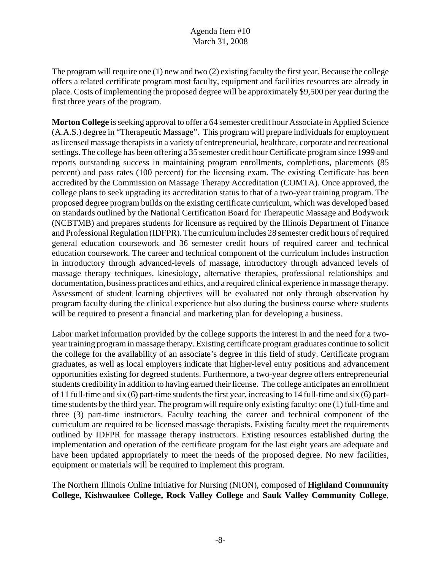The program will require one (1) new and two (2) existing faculty the first year. Because the college offers a related certificate program most faculty, equipment and facilities resources are already in place. Costs of implementing the proposed degree will be approximately \$9,500 per year during the first three years of the program.

**Morton College** is seeking approval to offer a 64 semester credit hour Associate in Applied Science (A.A.S.) degree in "Therapeutic Massage". This program will prepare individuals for employment as licensed massage therapists in a variety of entrepreneurial, healthcare, corporate and recreational settings. The college has been offering a 35 semester credit hour Certificate program since 1999 and reports outstanding success in maintaining program enrollments, completions, placements (85 percent) and pass rates (100 percent) for the licensing exam. The existing Certificate has been accredited by the Commission on Massage Therapy Accreditation (COMTA). Once approved, the college plans to seek upgrading its accreditation status to that of a two-year training program. The proposed degree program builds on the existing certificate curriculum, which was developed based on standards outlined by the National Certification Board for Therapeutic Massage and Bodywork (NCBTMB) and prepares students for licensure as required by the Illinois Department of Finance and Professional Regulation (IDFPR). The curriculum includes 28 semester credit hours of required general education coursework and 36 semester credit hours of required career and technical education coursework. The career and technical component of the curriculum includes instruction in introductory through advanced-levels of massage, introductory through advanced levels of massage therapy techniques, kinesiology, alternative therapies, professional relationships and documentation, business practices and ethics, and a required clinical experience in massage therapy. Assessment of student learning objectives will be evaluated not only through observation by program faculty during the clinical experience but also during the business course where students will be required to present a financial and marketing plan for developing a business.

Labor market information provided by the college supports the interest in and the need for a twoyear training program in massage therapy. Existing certificate program graduates continue to solicit the college for the availability of an associate's degree in this field of study. Certificate program graduates, as well as local employers indicate that higher-level entry positions and advancement opportunities existing for degreed students. Furthermore, a two-year degree offers entrepreneurial students credibility in addition to having earned their license. The college anticipates an enrollment of 11 full-time and six (6) part-time students the first year, increasing to 14 full-time and six (6) parttime students by the third year. The program will require only existing faculty: one (1) full-time and three (3) part-time instructors. Faculty teaching the career and technical component of the curriculum are required to be licensed massage therapists. Existing faculty meet the requirements outlined by IDFPR for massage therapy instructors. Existing resources established during the implementation and operation of the certificate program for the last eight years are adequate and have been updated appropriately to meet the needs of the proposed degree. No new facilities, equipment or materials will be required to implement this program.

The Northern Illinois Online Initiative for Nursing (NION), composed of **Highland Community College, Kishwaukee College, Rock Valley College** and **Sauk Valley Community College**,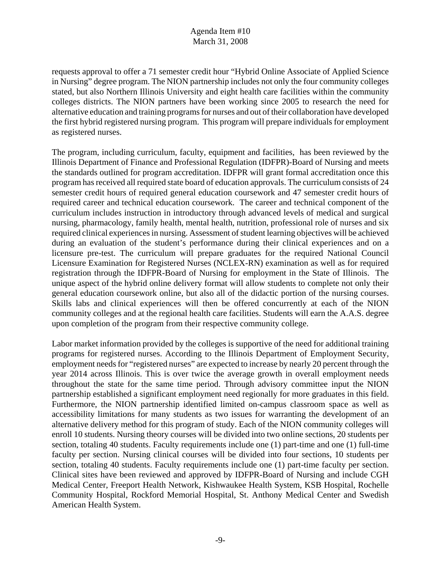requests approval to offer a 71 semester credit hour "Hybrid Online Associate of Applied Science in Nursing" degree program. The NION partnership includes not only the four community colleges stated, but also Northern Illinois University and eight health care facilities within the community colleges districts. The NION partners have been working since 2005 to research the need for alternative education and training programs for nurses and out of their collaboration have developed the first hybrid registered nursing program. This program will prepare individuals for employment as registered nurses.

The program, including curriculum, faculty, equipment and facilities, has been reviewed by the Illinois Department of Finance and Professional Regulation (IDFPR)-Board of Nursing and meets the standards outlined for program accreditation. IDFPR will grant formal accreditation once this program has received all required state board of education approvals. The curriculum consists of 24 semester credit hours of required general education coursework and 47 semester credit hours of required career and technical education coursework. The career and technical component of the curriculum includes instruction in introductory through advanced levels of medical and surgical nursing, pharmacology, family health, mental health, nutrition, professional role of nurses and six required clinical experiences in nursing. Assessment of student learning objectives will be achieved during an evaluation of the student's performance during their clinical experiences and on a licensure pre-test. The curriculum will prepare graduates for the required National Council Licensure Examination for Registered Nurses (NCLEX-RN) examination as well as for required registration through the IDFPR-Board of Nursing for employment in the State of Illinois. The unique aspect of the hybrid online delivery format will allow students to complete not only their general education coursework online, but also all of the didactic portion of the nursing courses. Skills labs and clinical experiences will then be offered concurrently at each of the NION community colleges and at the regional health care facilities. Students will earn the A.A.S. degree upon completion of the program from their respective community college.

Labor market information provided by the colleges is supportive of the need for additional training programs for registered nurses. According to the Illinois Department of Employment Security, employment needs for "registered nurses" are expected to increase by nearly 20 percent through the year 2014 across Illinois. This is over twice the average growth in overall employment needs throughout the state for the same time period. Through advisory committee input the NION partnership established a significant employment need regionally for more graduates in this field. Furthermore, the NION partnership identified limited on-campus classroom space as well as accessibility limitations for many students as two issues for warranting the development of an alternative delivery method for this program of study. Each of the NION community colleges will enroll 10 students. Nursing theory courses will be divided into two online sections, 20 students per section, totaling 40 students. Faculty requirements include one (1) part-time and one (1) full-time faculty per section. Nursing clinical courses will be divided into four sections, 10 students per section, totaling 40 students. Faculty requirements include one (1) part-time faculty per section. Clinical sites have been reviewed and approved by IDFPR-Board of Nursing and include CGH Medical Center, Freeport Health Network, Kishwaukee Health System, KSB Hospital, Rochelle Community Hospital, Rockford Memorial Hospital, St. Anthony Medical Center and Swedish American Health System.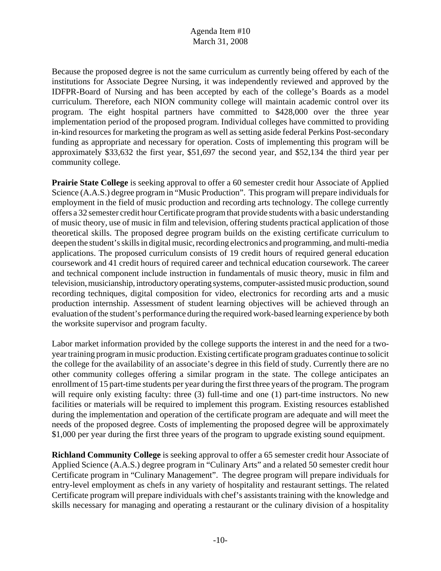Because the proposed degree is not the same curriculum as currently being offered by each of the institutions for Associate Degree Nursing, it was independently reviewed and approved by the IDFPR-Board of Nursing and has been accepted by each of the college's Boards as a model curriculum. Therefore, each NION community college will maintain academic control over its program. The eight hospital partners have committed to \$428,000 over the three year implementation period of the proposed program. Individual colleges have committed to providing in-kind resources for marketing the program as well as setting aside federal Perkins Post-secondary funding as appropriate and necessary for operation. Costs of implementing this program will be approximately \$33,632 the first year, \$51,697 the second year, and \$52,134 the third year per community college.

**Prairie State College** is seeking approval to offer a 60 semester credit hour Associate of Applied Science (A.A.S.) degree program in "Music Production". This program will prepare individuals for employment in the field of music production and recording arts technology. The college currently offers a 32 semester credit hour Certificate program that provide students with a basic understanding of music theory, use of music in film and television, offering students practical application of those theoretical skills. The proposed degree program builds on the existing certificate curriculum to deepen the student's skills in digital music, recording electronics and programming, and multi-media applications. The proposed curriculum consists of 19 credit hours of required general education coursework and 41 credit hours of required career and technical education coursework. The career and technical component include instruction in fundamentals of music theory, music in film and television, musicianship, introductory operating systems, computer-assisted music production, sound recording techniques, digital composition for video, electronics for recording arts and a music production internship. Assessment of student learning objectives will be achieved through an evaluation of the student's performance during the required work-based learning experience by both the worksite supervisor and program faculty.

Labor market information provided by the college supports the interest in and the need for a twoyear training program in music production. Existing certificate program graduates continue to solicit the college for the availability of an associate's degree in this field of study. Currently there are no other community colleges offering a similar program in the state. The college anticipates an enrollment of 15 part-time students per year during the first three years of the program. The program will require only existing faculty: three (3) full-time and one (1) part-time instructors. No new facilities or materials will be required to implement this program. Existing resources established during the implementation and operation of the certificate program are adequate and will meet the needs of the proposed degree. Costs of implementing the proposed degree will be approximately \$1,000 per year during the first three years of the program to upgrade existing sound equipment.

**Richland Community College** is seeking approval to offer a 65 semester credit hour Associate of Applied Science (A.A.S.) degree program in "Culinary Arts" and a related 50 semester credit hour Certificate program in "Culinary Management". The degree program will prepare individuals for entry-level employment as chefs in any variety of hospitality and restaurant settings. The related Certificate program will prepare individuals with chef's assistants training with the knowledge and skills necessary for managing and operating a restaurant or the culinary division of a hospitality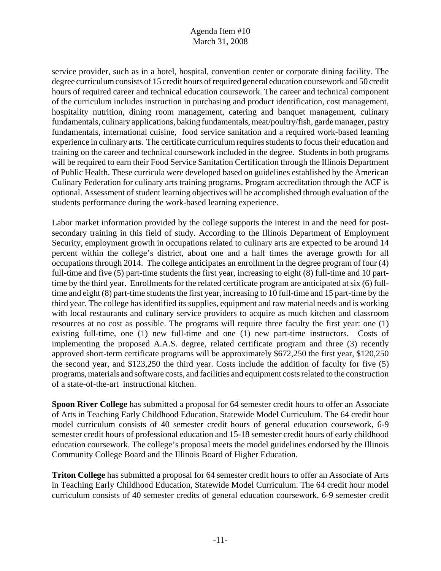service provider, such as in a hotel, hospital, convention center or corporate dining facility. The degree curriculum consists of 15 credit hours of required general education coursework and 50 credit hours of required career and technical education coursework. The career and technical component of the curriculum includes instruction in purchasing and product identification, cost management, hospitality nutrition, dining room management, catering and banquet management, culinary fundamentals, culinary applications, baking fundamentals, meat/poultry/fish, garde manager, pastry fundamentals, international cuisine, food service sanitation and a required work-based learning experience in culinary arts. The certificate curriculum requires students to focus their education and training on the career and technical coursework included in the degree. Students in both programs will be required to earn their Food Service Sanitation Certification through the Illinois Department of Public Health. These curricula were developed based on guidelines established by the American Culinary Federation for culinary arts training programs. Program accreditation through the ACF is optional. Assessment of student learning objectives will be accomplished through evaluation of the students performance during the work-based learning experience.

Labor market information provided by the college supports the interest in and the need for postsecondary training in this field of study. According to the Illinois Department of Employment Security, employment growth in occupations related to culinary arts are expected to be around 14 percent within the college's district, about one and a half times the average growth for all occupations through 2014. The college anticipates an enrollment in the degree program of four (4) full-time and five (5) part-time students the first year, increasing to eight (8) full-time and 10 parttime by the third year. Enrollments for the related certificate program are anticipated at six (6) fulltime and eight (8) part-time students the first year, increasing to 10 full-time and 15 part-time by the third year. The college has identified its supplies, equipment and raw material needs and is working with local restaurants and culinary service providers to acquire as much kitchen and classroom resources at no cost as possible. The programs will require three faculty the first year: one (1) existing full-time, one (1) new full-time and one (1) new part-time instructors. Costs of implementing the proposed A.A.S. degree, related certificate program and three (3) recently approved short-term certificate programs will be approximately \$672,250 the first year, \$120,250 the second year, and \$123,250 the third year. Costs include the addition of faculty for five (5) programs, materials and software costs, and facilities and equipment costs related to the construction of a state-of-the-art instructional kitchen.

**Spoon River College** has submitted a proposal for 64 semester credit hours to offer an Associate of Arts in Teaching Early Childhood Education, Statewide Model Curriculum. The 64 credit hour model curriculum consists of 40 semester credit hours of general education coursework, 6-9 semester credit hours of professional education and 15-18 semester credit hours of early childhood education coursework. The college's proposal meets the model guidelines endorsed by the Illinois Community College Board and the Illinois Board of Higher Education.

**Triton College** has submitted a proposal for 64 semester credit hours to offer an Associate of Arts in Teaching Early Childhood Education, Statewide Model Curriculum. The 64 credit hour model curriculum consists of 40 semester credits of general education coursework, 6-9 semester credit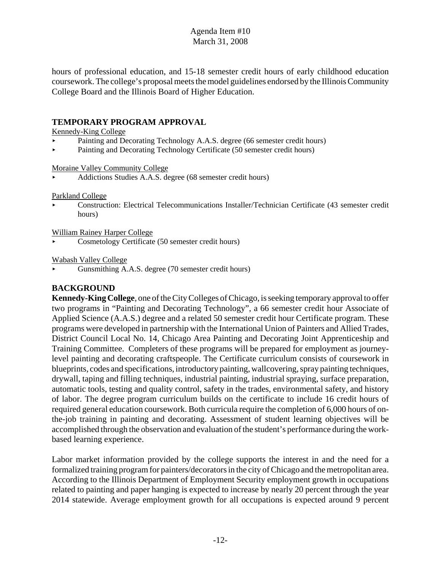hours of professional education, and 15-18 semester credit hours of early childhood education coursework. The college's proposal meets the model guidelines endorsed by the Illinois Community College Board and the Illinois Board of Higher Education.

#### **TEMPORARY PROGRAM APPROVAL**

#### Kennedy-King College

- Painting and Decorating Technology A.A.S. degree (66 semester credit hours)
- Painting and Decorating Technology Certificate (50 semester credit hours)

#### Moraine Valley Community College

< Addictions Studies A.A.S. degree (68 semester credit hours)

#### Parkland College

< Construction: Electrical Telecommunications Installer/Technician Certificate (43 semester credit hours)

#### William Rainey Harper College

< Cosmetology Certificate (50 semester credit hours)

#### Wabash Valley College

< Gunsmithing A.A.S. degree (70 semester credit hours)

#### **BACKGROUND**

**Kennedy-King College**, one of the City Colleges of Chicago, is seeking temporary approval to offer two programs in "Painting and Decorating Technology", a 66 semester credit hour Associate of Applied Science (A.A.S.) degree and a related 50 semester credit hour Certificate program. These programs were developed in partnership with the International Union of Painters and Allied Trades, District Council Local No. 14, Chicago Area Painting and Decorating Joint Apprenticeship and Training Committee. Completers of these programs will be prepared for employment as journeylevel painting and decorating craftspeople. The Certificate curriculum consists of coursework in blueprints, codes and specifications, introductory painting, wallcovering, spray painting techniques, drywall, taping and filling techniques, industrial painting, industrial spraying, surface preparation, automatic tools, testing and quality control, safety in the trades, environmental safety, and history of labor. The degree program curriculum builds on the certificate to include 16 credit hours of required general education coursework. Both curricula require the completion of 6,000 hours of onthe-job training in painting and decorating. Assessment of student learning objectives will be accomplished through the observation and evaluation of the student's performance during the workbased learning experience.

Labor market information provided by the college supports the interest in and the need for a formalized training program for painters/decorators in the city of Chicago and the metropolitan area. According to the Illinois Department of Employment Security employment growth in occupations related to painting and paper hanging is expected to increase by nearly 20 percent through the year 2014 statewide. Average employment growth for all occupations is expected around 9 percent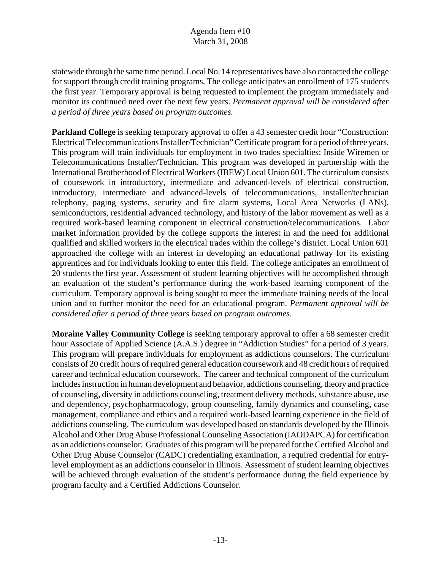statewide through the same time period. Local No. 14 representatives have also contacted the college for support through credit training programs. The college anticipates an enrollment of 175 students the first year. Temporary approval is being requested to implement the program immediately and monitor its continued need over the next few years. *Permanent approval will be considered after a period of three years based on program outcomes.* 

**Parkland College** is seeking temporary approval to offer a 43 semester credit hour "Construction: Electrical Telecommunications Installer/Technician" Certificate program for a period of three years. This program will train individuals for employment in two trades specialties: Inside Wiremen or Telecommunications Installer/Technician. This program was developed in partnership with the International Brotherhood of Electrical Workers (IBEW) Local Union 601. The curriculum consists of coursework in introductory, intermediate and advanced-levels of electrical construction, introductory, intermediate and advanced-levels of telecommunications, installer/technician telephony, paging systems, security and fire alarm systems, Local Area Networks (LANs), semiconductors, residential advanced technology, and history of the labor movement as well as a required work-based learning component in electrical construction/telecommunications. Labor market information provided by the college supports the interest in and the need for additional qualified and skilled workers in the electrical trades within the college's district. Local Union 601 approached the college with an interest in developing an educational pathway for its existing apprentices and for individuals looking to enter this field. The college anticipates an enrollment of 20 students the first year. Assessment of student learning objectives will be accomplished through an evaluation of the student's performance during the work-based learning component of the curriculum. Temporary approval is being sought to meet the immediate training needs of the local union and to further monitor the need for an educational program. *Permanent approval will be considered after a period of three years based on program outcomes.*

**Moraine Valley Community College** is seeking temporary approval to offer a 68 semester credit hour Associate of Applied Science (A.A.S.) degree in "Addiction Studies" for a period of 3 years. This program will prepare individuals for employment as addictions counselors. The curriculum consists of 20 credit hours of required general education coursework and 48 credit hours of required career and technical education coursework. The career and technical component of the curriculum includes instruction in human development and behavior, addictions counseling, theory and practice of counseling, diversity in addictions counseling, treatment delivery methods, substance abuse, use and dependency, psychopharmacology, group counseling, family dynamics and counseling, case management, compliance and ethics and a required work-based learning experience in the field of addictions counseling. The curriculum was developed based on standards developed by the Illinois Alcohol and Other Drug Abuse Professional Counseling Association (IAODAPCA) for certification as an addictions counselor. Graduates of this program will be prepared for the Certified Alcohol and Other Drug Abuse Counselor (CADC) credentialing examination, a required credential for entrylevel employment as an addictions counselor in Illinois. Assessment of student learning objectives will be achieved through evaluation of the student's performance during the field experience by program faculty and a Certified Addictions Counselor.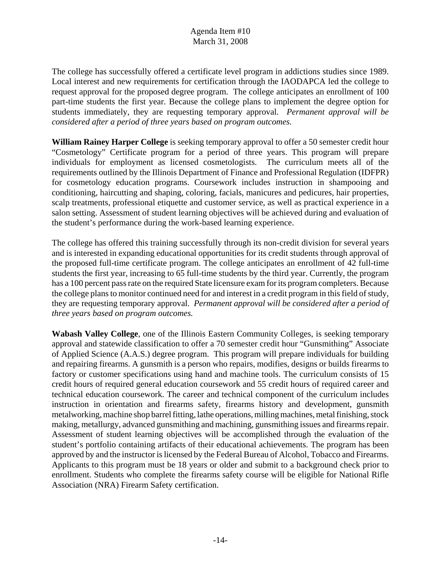The college has successfully offered a certificate level program in addictions studies since 1989. Local interest and new requirements for certification through the IAODAPCA led the college to request approval for the proposed degree program. The college anticipates an enrollment of 100 part-time students the first year. Because the college plans to implement the degree option for students immediately, they are requesting temporary approval. *Permanent approval will be considered after a period of three years based on program outcomes.* 

**William Rainey Harper College** is seeking temporary approval to offer a 50 semester credit hour "Cosmetology" Certificate program for a period of three years. This program will prepare individuals for employment as licensed cosmetologists. The curriculum meets all of the requirements outlined by the Illinois Department of Finance and Professional Regulation (IDFPR) for cosmetology education programs. Coursework includes instruction in shampooing and conditioning, haircutting and shaping, coloring, facials, manicures and pedicures, hair properties, scalp treatments, professional etiquette and customer service, as well as practical experience in a salon setting. Assessment of student learning objectives will be achieved during and evaluation of the student's performance during the work-based learning experience.

The college has offered this training successfully through its non-credit division for several years and is interested in expanding educational opportunities for its credit students through approval of the proposed full-time certificate program. The college anticipates an enrollment of 42 full-time students the first year, increasing to 65 full-time students by the third year. Currently, the program has a 100 percent pass rate on the required State licensure exam for its program completers. Because the college plans to monitor continued need for and interest in a credit program in this field of study, they are requesting temporary approval. *Permanent approval will be considered after a period of three years based on program outcomes.* 

**Wabash Valley College**, one of the Illinois Eastern Community Colleges, is seeking temporary approval and statewide classification to offer a 70 semester credit hour "Gunsmithing" Associate of Applied Science (A.A.S.) degree program. This program will prepare individuals for building and repairing firearms. A gunsmith is a person who repairs, modifies, designs or builds firearms to factory or customer specifications using hand and machine tools. The curriculum consists of 15 credit hours of required general education coursework and 55 credit hours of required career and technical education coursework. The career and technical component of the curriculum includes instruction in orientation and firearms safety, firearms history and development, gunsmith metalworking, machine shop barrel fitting, lathe operations, milling machines, metal finishing, stock making, metallurgy, advanced gunsmithing and machining, gunsmithing issues and firearms repair. Assessment of student learning objectives will be accomplished through the evaluation of the student's portfolio containing artifacts of their educational achievements. The program has been approved by and the instructor is licensed by the Federal Bureau of Alcohol, Tobacco and Firearms. Applicants to this program must be 18 years or older and submit to a background check prior to enrollment. Students who complete the firearms safety course will be eligible for National Rifle Association (NRA) Firearm Safety certification.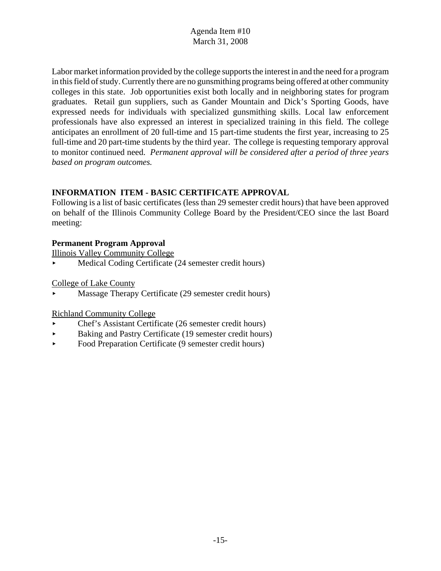Labor market information provided by the college supports the interest in and the need for a program in this field of study. Currently there are no gunsmithing programs being offered at other community colleges in this state. Job opportunities exist both locally and in neighboring states for program graduates. Retail gun suppliers, such as Gander Mountain and Dick's Sporting Goods, have expressed needs for individuals with specialized gunsmithing skills. Local law enforcement professionals have also expressed an interest in specialized training in this field. The college anticipates an enrollment of 20 full-time and 15 part-time students the first year, increasing to 25 full-time and 20 part-time students by the third year. The college is requesting temporary approval to monitor continued need. *Permanent approval will be considered after a period of three years based on program outcomes.* 

# **INFORMATION ITEM - BASIC CERTIFICATE APPROVAL**

Following is a list of basic certificates (less than 29 semester credit hours) that have been approved on behalf of the Illinois Community College Board by the President/CEO since the last Board meeting:

#### **Permanent Program Approval**

Illinois Valley Community College

Medical Coding Certificate (24 semester credit hours)

College of Lake County

Massage Therapy Certificate (29 semester credit hours)

#### Richland Community College

- < Chef's Assistant Certificate (26 semester credit hours)
- < Baking and Pastry Certificate (19 semester credit hours)
- Food Preparation Certificate (9 semester credit hours)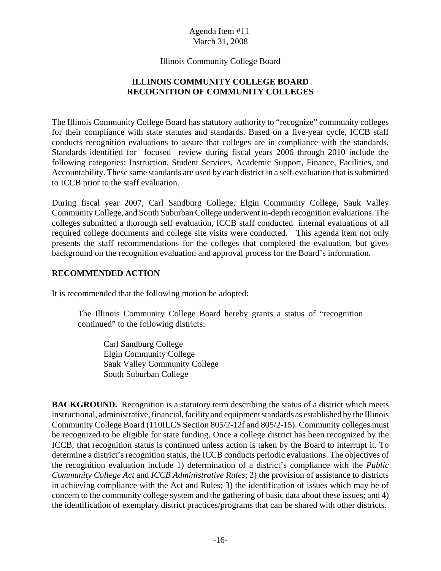Illinois Community College Board

# **ILLINOIS COMMUNITY COLLEGE BOARD RECOGNITION OF COMMUNITY COLLEGES**

The Illinois Community College Board has statutory authority to "recognize" community colleges for their compliance with state statutes and standards. Based on a five-year cycle, ICCB staff conducts recognition evaluations to assure that colleges are in compliance with the standards. Standards identified for focused review during fiscal years 2006 through 2010 include the following categories: Instruction, Student Services, Academic Support, Finance, Facilities, and Accountability. These same standards are used by each district in a self-evaluation that is submitted to ICCB prior to the staff evaluation.

During fiscal year 2007, Carl Sandburg College, Elgin Community College, Sauk Valley Community College, and South Suburban College underwent in-depth recognition evaluations. The colleges submitted a thorough self evaluation, ICCB staff conducted internal evaluations of all required college documents and college site visits were conducted. This agenda item not only presents the staff recommendations for the colleges that completed the evaluation, but gives background on the recognition evaluation and approval process for the Board's information.

#### **RECOMMENDED ACTION**

It is recommended that the following motion be adopted:

The Illinois Community College Board hereby grants a status of "recognition continued" to the following districts:

Carl Sandburg College Elgin Community College Sauk Valley Community College South Suburban College

**BACKGROUND.** Recognition is a statutory term describing the status of a district which meets instructional, administrative, financial, facility and equipment standards as established by the Illinois Community College Board (110ILCS Section 805/2-12f and 805/2-15). Community colleges must be recognized to be eligible for state funding. Once a college district has been recognized by the ICCB, that recognition status is continued unless action is taken by the Board to interrupt it. To determine a district's recognition status, the ICCB conducts periodic evaluations. The objectives of the recognition evaluation include 1) determination of a district's compliance with the *Public Community College Act* and *ICCB Administrative Rules*; 2) the provision of assistance to districts in achieving compliance with the Act and Rules; 3) the identification of issues which may be of concern to the community college system and the gathering of basic data about these issues; and 4) the identification of exemplary district practices/programs that can be shared with other districts.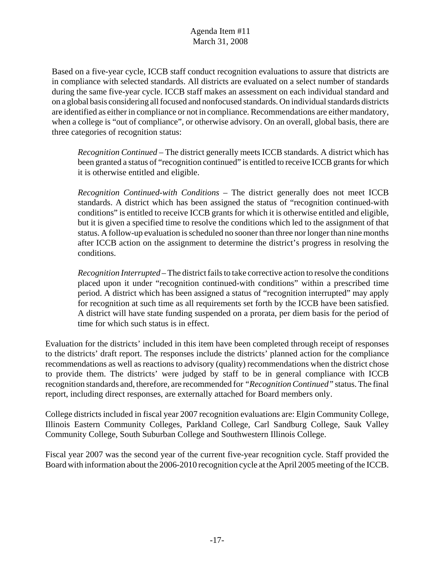Based on a five-year cycle, ICCB staff conduct recognition evaluations to assure that districts are in compliance with selected standards. All districts are evaluated on a select number of standards during the same five-year cycle. ICCB staff makes an assessment on each individual standard and on a global basis considering all focused and nonfocused standards. On individual standards districts are identified as either in compliance or not in compliance. Recommendations are either mandatory, when a college is "out of compliance", or otherwise advisory. On an overall, global basis, there are three categories of recognition status:

*Recognition Continued* – The district generally meets ICCB standards. A district which has been granted a status of "recognition continued" is entitled to receive ICCB grants for which it is otherwise entitled and eligible.

*Recognition Continued-with Conditions* – The district generally does not meet ICCB standards. A district which has been assigned the status of "recognition continued-with conditions" is entitled to receive ICCB grants for which it is otherwise entitled and eligible, but it is given a specified time to resolve the conditions which led to the assignment of that status. A follow-up evaluation is scheduled no sooner than three nor longer than nine months after ICCB action on the assignment to determine the district's progress in resolving the conditions.

*Recognition Interrupted* – The district fails to take corrective action to resolve the conditions placed upon it under "recognition continued-with conditions" within a prescribed time period. A district which has been assigned a status of "recognition interrupted" may apply for recognition at such time as all requirements set forth by the ICCB have been satisfied. A district will have state funding suspended on a prorata, per diem basis for the period of time for which such status is in effect.

Evaluation for the districts' included in this item have been completed through receipt of responses to the districts' draft report. The responses include the districts' planned action for the compliance recommendations as well as reactions to advisory (quality) recommendations when the district chose to provide them. The districts' were judged by staff to be in general compliance with ICCB recognition standards and, therefore, are recommended for *"Recognition Continued"* status. The final report, including direct responses, are externally attached for Board members only.

College districts included in fiscal year 2007 recognition evaluations are: Elgin Community College, Illinois Eastern Community Colleges, Parkland College, Carl Sandburg College, Sauk Valley Community College, South Suburban College and Southwestern Illinois College.

Fiscal year 2007 was the second year of the current five-year recognition cycle. Staff provided the Board with information about the 2006-2010 recognition cycle at the April 2005 meeting of the ICCB.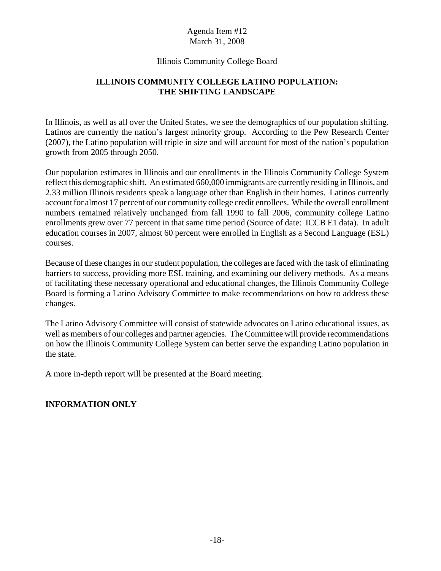#### Illinois Community College Board

# **ILLINOIS COMMUNITY COLLEGE LATINO POPULATION: THE SHIFTING LANDSCAPE**

In Illinois, as well as all over the United States, we see the demographics of our population shifting. Latinos are currently the nation's largest minority group. According to the Pew Research Center (2007), the Latino population will triple in size and will account for most of the nation's population growth from 2005 through 2050.

Our population estimates in Illinois and our enrollments in the Illinois Community College System reflect this demographic shift. An estimated 660,000 immigrants are currently residing in Illinois, and 2.33 million Illinois residents speak a language other than English in their homes. Latinos currently account for almost 17 percent of our community college credit enrollees. While the overall enrollment numbers remained relatively unchanged from fall 1990 to fall 2006, community college Latino enrollments grew over 77 percent in that same time period (Source of date: ICCB E1 data). In adult education courses in 2007, almost 60 percent were enrolled in English as a Second Language (ESL) courses.

Because of these changes in our student population, the colleges are faced with the task of eliminating barriers to success, providing more ESL training, and examining our delivery methods. As a means of facilitating these necessary operational and educational changes, the Illinois Community College Board is forming a Latino Advisory Committee to make recommendations on how to address these changes.

The Latino Advisory Committee will consist of statewide advocates on Latino educational issues, as well as members of our colleges and partner agencies. The Committee will provide recommendations on how the Illinois Community College System can better serve the expanding Latino population in the state.

A more in-depth report will be presented at the Board meeting.

#### **INFORMATION ONLY**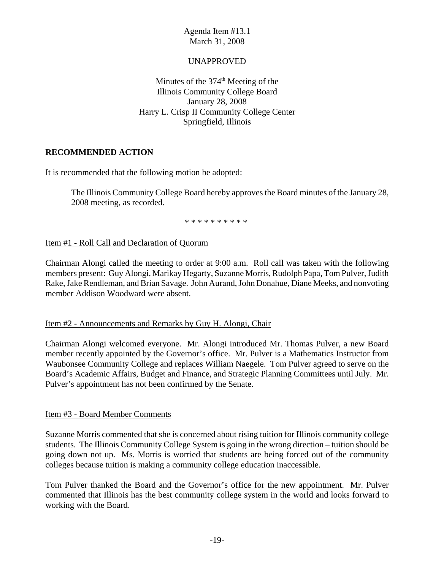#### UNAPPROVED

Minutes of the  $374<sup>th</sup>$  Meeting of the Illinois Community College Board January 28, 2008 Harry L. Crisp II Community College Center Springfield, Illinois

#### **RECOMMENDED ACTION**

It is recommended that the following motion be adopted:

The Illinois Community College Board hereby approves the Board minutes of the January 28, 2008 meeting, as recorded.

\* \* \* \* \* \* \* \* \* \*

Item #1 - Roll Call and Declaration of Quorum

Chairman Alongi called the meeting to order at 9:00 a.m. Roll call was taken with the following members present: Guy Alongi, Marikay Hegarty, Suzanne Morris, Rudolph Papa, Tom Pulver, Judith Rake, Jake Rendleman, and Brian Savage. John Aurand, John Donahue, Diane Meeks, and nonvoting member Addison Woodward were absent.

#### Item #2 - Announcements and Remarks by Guy H. Alongi, Chair

Chairman Alongi welcomed everyone. Mr. Alongi introduced Mr. Thomas Pulver, a new Board member recently appointed by the Governor's office. Mr. Pulver is a Mathematics Instructor from Waubonsee Community College and replaces William Naegele. Tom Pulver agreed to serve on the Board's Academic Affairs, Budget and Finance, and Strategic Planning Committees until July. Mr. Pulver's appointment has not been confirmed by the Senate.

#### Item #3 - Board Member Comments

Suzanne Morris commented that she is concerned about rising tuition for Illinois community college students. The Illinois Community College System is going in the wrong direction – tuition should be going down not up. Ms. Morris is worried that students are being forced out of the community colleges because tuition is making a community college education inaccessible.

Tom Pulver thanked the Board and the Governor's office for the new appointment. Mr. Pulver commented that Illinois has the best community college system in the world and looks forward to working with the Board.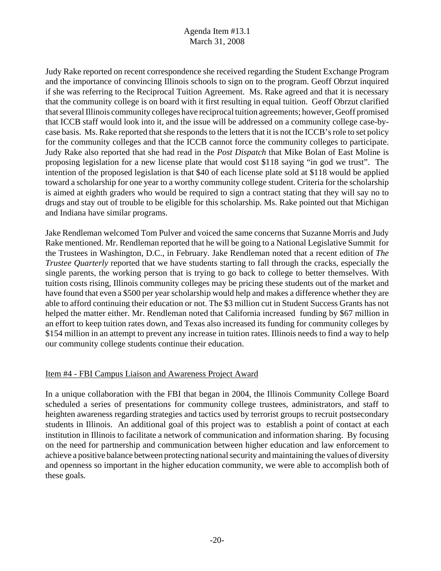Judy Rake reported on recent correspondence she received regarding the Student Exchange Program and the importance of convincing Illinois schools to sign on to the program. Geoff Obrzut inquired if she was referring to the Reciprocal Tuition Agreement. Ms. Rake agreed and that it is necessary that the community college is on board with it first resulting in equal tuition. Geoff Obrzut clarified that several Illinois community colleges have reciprocal tuition agreements; however, Geoff promised that ICCB staff would look into it, and the issue will be addressed on a community college case-bycase basis. Ms. Rake reported that she responds to the letters that it is not the ICCB's role to set policy for the community colleges and that the ICCB cannot force the community colleges to participate. Judy Rake also reported that she had read in the *Post Dispatch* that Mike Bolan of East Moline is proposing legislation for a new license plate that would cost \$118 saying "in god we trust". The intention of the proposed legislation is that \$40 of each license plate sold at \$118 would be applied toward a scholarship for one year to a worthy community college student. Criteria for the scholarship is aimed at eighth graders who would be required to sign a contract stating that they will say no to drugs and stay out of trouble to be eligible for this scholarship. Ms. Rake pointed out that Michigan and Indiana have similar programs.

Jake Rendleman welcomed Tom Pulver and voiced the same concerns that Suzanne Morris and Judy Rake mentioned. Mr. Rendleman reported that he will be going to a National Legislative Summit for the Trustees in Washington, D.C., in February. Jake Rendleman noted that a recent edition of *The Trustee Quarterly* reported that we have students starting to fall through the cracks, especially the single parents, the working person that is trying to go back to college to better themselves. With tuition costs rising, Illinois community colleges may be pricing these students out of the market and have found that even a \$500 per year scholarship would help and makes a difference whether they are able to afford continuing their education or not. The \$3 million cut in Student Success Grants has not helped the matter either. Mr. Rendleman noted that California increased funding by \$67 million in an effort to keep tuition rates down, and Texas also increased its funding for community colleges by \$154 million in an attempt to prevent any increase in tuition rates. Illinois needs to find a way to help our community college students continue their education.

#### Item #4 - FBI Campus Liaison and Awareness Project Award

In a unique collaboration with the FBI that began in 2004, the Illinois Community College Board scheduled a series of presentations for community college trustees, administrators, and staff to heighten awareness regarding strategies and tactics used by terrorist groups to recruit postsecondary students in Illinois. An additional goal of this project was to establish a point of contact at each institution in Illinois to facilitate a network of communication and information sharing.By focusing on the need for partnership and communication between higher education and law enforcement to achieve a positive balance between protecting national security and maintaining the values of diversity and openness so important in the higher education community, we were able to accomplish both of these goals.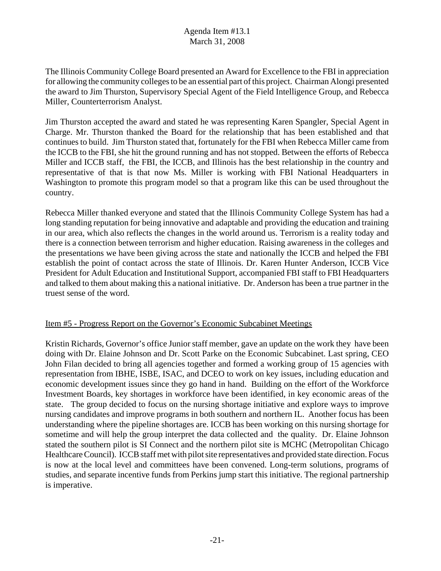The Illinois Community College Board presented an Award for Excellence to the FBI in appreciation for allowing the community colleges to be an essential part of this project. Chairman Alongi presented the award to Jim Thurston, Supervisory Special Agent of the Field Intelligence Group, and Rebecca Miller, Counterterrorism Analyst.

Jim Thurston accepted the award and stated he was representing Karen Spangler, Special Agent in Charge. Mr. Thurston thanked the Board for the relationship that has been established and that continues to build. Jim Thurston stated that, fortunately for the FBI when Rebecca Miller came from the ICCB to the FBI, she hit the ground running and has not stopped. Between the efforts of Rebecca Miller and ICCB staff, the FBI, the ICCB, and Illinois has the best relationship in the country and representative of that is that now Ms. Miller is working with FBI National Headquarters in Washington to promote this program model so that a program like this can be used throughout the country.

Rebecca Miller thanked everyone and stated that the Illinois Community College System has had a long standing reputation for being innovative and adaptable and providing the education and training in our area, which also reflects the changes in the world around us. Terrorism is a reality today and there is a connection between terrorism and higher education. Raising awareness in the colleges and the presentations we have been giving across the state and nationally the ICCB and helped the FBI establish the point of contact across the state of Illinois. Dr. Karen Hunter Anderson, ICCB Vice President for Adult Education and Institutional Support, accompanied FBI staff to FBI Headquarters and talked to them about making this a national initiative. Dr. Anderson has been a true partner in the truest sense of the word.

#### Item #5 - Progress Report on the Governor's Economic Subcabinet Meetings

Kristin Richards, Governor's office Junior staff member, gave an update on the work they have been doing with Dr. Elaine Johnson and Dr. Scott Parke on the Economic Subcabinet. Last spring, CEO John Filan decided to bring all agencies together and formed a working group of 15 agencies with representation from IBHE, ISBE, ISAC, and DCEO to work on key issues, including education and economic development issues since they go hand in hand. Building on the effort of the Workforce Investment Boards, key shortages in workforce have been identified, in key economic areas of the state. The group decided to focus on the nursing shortage initiative and explore ways to improve nursing candidates and improve programs in both southern and northern IL. Another focus has been understanding where the pipeline shortages are. ICCB has been working on this nursing shortage for sometime and will help the group interpret the data collected and the quality. Dr. Elaine Johnson stated the southern pilot is SI Connect and the northern pilot site is MCHC (Metropolitan Chicago Healthcare Council). ICCB staff met with pilot site representatives and provided state direction. Focus is now at the local level and committees have been convened. Long-term solutions, programs of studies, and separate incentive funds from Perkins jump start this initiative. The regional partnership is imperative.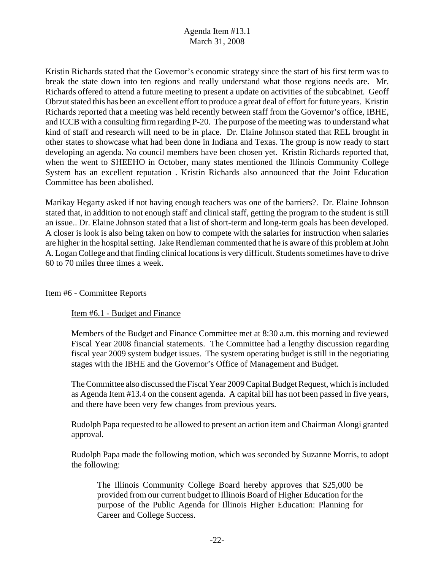Kristin Richards stated that the Governor's economic strategy since the start of his first term was to break the state down into ten regions and really understand what those regions needs are. Mr. Richards offered to attend a future meeting to present a update on activities of the subcabinet. Geoff Obrzut stated this has been an excellent effort to produce a great deal of effort for future years. Kristin Richards reported that a meeting was held recently between staff from the Governor's office, IBHE, and ICCB with a consulting firm regarding P-20. The purpose of the meeting was to understand what kind of staff and research will need to be in place. Dr. Elaine Johnson stated that REL brought in other states to showcase what had been done in Indiana and Texas. The group is now ready to start developing an agenda. No council members have been chosen yet. Kristin Richards reported that, when the went to SHEEHO in October, many states mentioned the Illinois Community College System has an excellent reputation . Kristin Richards also announced that the Joint Education Committee has been abolished.

Marikay Hegarty asked if not having enough teachers was one of the barriers?. Dr. Elaine Johnson stated that, in addition to not enough staff and clinical staff, getting the program to the student is still an issue.. Dr. Elaine Johnson stated that a list of short-term and long-term goals has been developed. A closer is look is also being taken on how to compete with the salaries for instruction when salaries are higher in the hospital setting. Jake Rendleman commented that he is aware of this problem at John A. Logan College and that finding clinical locations is very difficult. Students sometimes have to drive 60 to 70 miles three times a week.

#### Item #6 - Committee Reports

#### Item #6.1 - Budget and Finance

Members of the Budget and Finance Committee met at 8:30 a.m. this morning and reviewed Fiscal Year 2008 financial statements. The Committee had a lengthy discussion regarding fiscal year 2009 system budget issues. The system operating budget is still in the negotiating stages with the IBHE and the Governor's Office of Management and Budget.

The Committee also discussed the Fiscal Year 2009 Capital Budget Request, which is included as Agenda Item #13.4 on the consent agenda. A capital bill has not been passed in five years, and there have been very few changes from previous years.

Rudolph Papa requested to be allowed to present an action item and Chairman Alongi granted approval.

Rudolph Papa made the following motion, which was seconded by Suzanne Morris, to adopt the following:

The Illinois Community College Board hereby approves that \$25,000 be provided from our current budget to Illinois Board of Higher Education for the purpose of the Public Agenda for Illinois Higher Education: Planning for Career and College Success.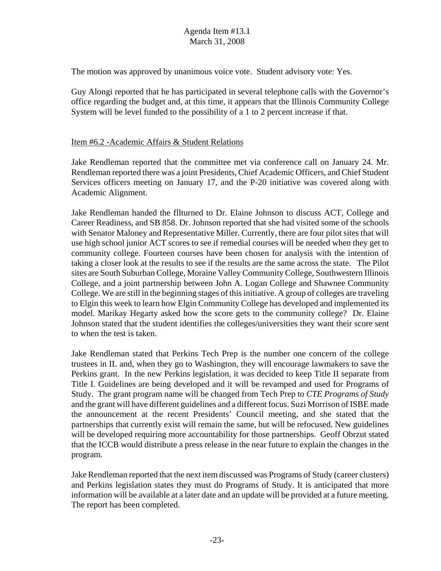The motion was approved by unanimous voice vote. Student advisory vote: Yes.

Guy Alongi reported that he has participated in several telephone calls with the Governor's office regarding the budget and, at this time, it appears that the Illinois Community College System will be level funded to the possibility of a 1 to 2 percent increase if that.

#### Item #6.2 -Academic Affairs & Student Relations

Jake Rendleman reported that the committee met via conference call on January 24. Mr. Rendleman reported there was a joint Presidents, Chief Academic Officers, and Chief Student Services officers meeting on January 17, and the P-20 initiative was covered along with Academic Alignment.

Jake Rendleman handed the fllturned to Dr. Elaine Johnson to discuss ACT, College and Career Readiness, and SB 858. Dr. Johnson reported that she had visited some of the schools with Senator Maloney and Representative Miller. Currently, there are four pilot sites that will use high school junior ACT scores to see if remedial courses will be needed when they get to community college. Fourteen courses have been chosen for analysis with the intention of taking a closer look at the results to see if the results are the same across the state. The Pilot sites are South Suburban College, Moraine Valley Community College, Southwestern Illinois College, and a joint partnership between John A. Logan College and Shawnee Community College. We are still in the beginning stages of this initiative. A group of colleges are traveling to Elgin this week to learn how Elgin Community College has developed and implemented its model. Marikay Hegarty asked how the score gets to the community college? Dr. Elaine Johnson stated that the student identifies the colleges/universities they want their score sent to when the test is taken.

Jake Rendleman stated that Perkins Tech Prep is the number one concern of the college trustees in IL and, when they go to Washington, they will encourage lawmakers to save the Perkins grant. In the new Perkins legislation, it was decided to keep Title II separate from Title I. Guidelines are being developed and it will be revamped and used for Programs of Study. The grant program name will be changed from Tech Prep to *CTE Programs of Study* and the grant will have different guidelines and a different focus. Suzi Morrison of ISBE made the announcement at the recent Presidents' Council meeting, and she stated that the partnerships that currently exist will remain the same, but will be refocused. New guidelines will be developed requiring more accountability for those partnerships. Geoff Obrzut stated that the ICCB would distribute a press release in the near future to explain the changes in the program.

Jake Rendleman reported that the next item discussed was Programs of Study (career clusters) and Perkins legislation states they must do Programs of Study. It is anticipated that more information will be available at a later date and an update will be provided at a future meeting. The report has been completed.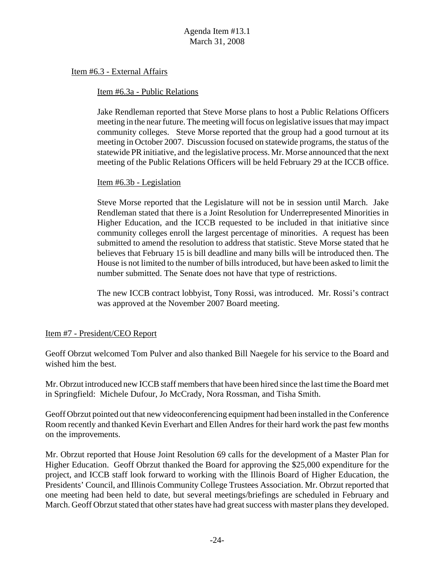Item #6.3 - External Affairs

#### Item #6.3a - Public Relations

Jake Rendleman reported that Steve Morse plans to host a Public Relations Officers meeting in the near future. The meeting will focus on legislative issues that may impact community colleges. Steve Morse reported that the group had a good turnout at its meeting in October 2007. Discussion focused on statewide programs, the status of the statewide PR initiative, and the legislative process. Mr. Morse announced that the next meeting of the Public Relations Officers will be held February 29 at the ICCB office.

#### Item #6.3b - Legislation

Steve Morse reported that the Legislature will not be in session until March. Jake Rendleman stated that there is a Joint Resolution for Underrepresented Minorities in Higher Education, and the ICCB requested to be included in that initiative since community colleges enroll the largest percentage of minorities. A request has been submitted to amend the resolution to address that statistic. Steve Morse stated that he believes that February 15 is bill deadline and many bills will be introduced then. The House is not limited to the number of bills introduced, but have been asked to limit the number submitted. The Senate does not have that type of restrictions.

The new ICCB contract lobbyist, Tony Rossi, was introduced. Mr. Rossi's contract was approved at the November 2007 Board meeting.

#### Item #7 - President/CEO Report

Geoff Obrzut welcomed Tom Pulver and also thanked Bill Naegele for his service to the Board and wished him the best.

Mr. Obrzut introduced new ICCB staff members that have been hired since the last time the Board met in Springfield: Michele Dufour, Jo McCrady, Nora Rossman, and Tisha Smith.

Geoff Obrzut pointed out that new videoconferencing equipment had been installed in the Conference Room recently and thanked Kevin Everhart and Ellen Andres for their hard work the past few months on the improvements.

Mr. Obrzut reported that House Joint Resolution 69 calls for the development of a Master Plan for Higher Education. Geoff Obrzut thanked the Board for approving the \$25,000 expenditure for the project, and ICCB staff look forward to working with the Illinois Board of Higher Education, the Presidents' Council, and Illinois Community College Trustees Association. Mr. Obrzut reported that one meeting had been held to date, but several meetings/briefings are scheduled in February and March. Geoff Obrzut stated that other states have had great success with master plans they developed.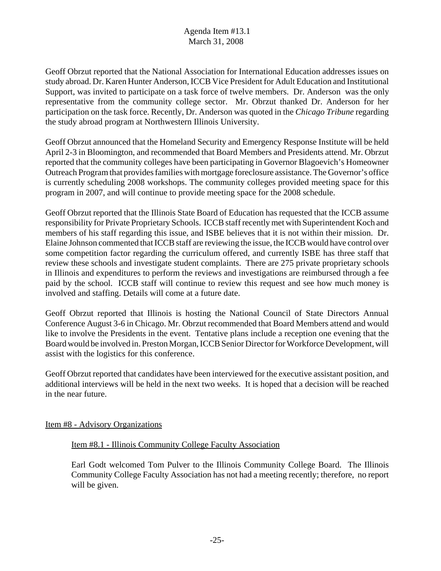Geoff Obrzut reported that the National Association for International Education addresses issues on study abroad. Dr. Karen Hunter Anderson, ICCB Vice President for Adult Education and Institutional Support, was invited to participate on a task force of twelve members. Dr. Anderson was the only representative from the community college sector. Mr. Obrzut thanked Dr. Anderson for her participation on the task force. Recently, Dr. Anderson was quoted in the *Chicago Tribune* regarding the study abroad program at Northwestern Illinois University.

Geoff Obrzut announced that the Homeland Security and Emergency Response Institute will be held April 2-3 in Bloomington, and recommended that Board Members and Presidents attend. Mr. Obrzut reported that the community colleges have been participating in Governor Blagoevich's Homeowner Outreach Program that provides families with mortgage foreclosure assistance. The Governor's office is currently scheduling 2008 workshops. The community colleges provided meeting space for this program in 2007, and will continue to provide meeting space for the 2008 schedule.

Geoff Obrzut reported that the Illinois State Board of Education has requested that the ICCB assume responsibility for Private Proprietary Schools. ICCB staff recently met with Superintendent Koch and members of his staff regarding this issue, and ISBE believes that it is not within their mission. Dr. Elaine Johnson commented that ICCB staff are reviewing the issue, the ICCB would have control over some competition factor regarding the curriculum offered, and currently ISBE has three staff that review these schools and investigate student complaints. There are 275 private proprietary schools in Illinois and expenditures to perform the reviews and investigations are reimbursed through a fee paid by the school. ICCB staff will continue to review this request and see how much money is involved and staffing. Details will come at a future date.

Geoff Obrzut reported that Illinois is hosting the National Council of State Directors Annual Conference August 3-6 in Chicago. Mr. Obrzut recommended that Board Members attend and would like to involve the Presidents in the event. Tentative plans include a reception one evening that the Board would be involved in. Preston Morgan, ICCB Senior Director for Workforce Development, will assist with the logistics for this conference.

Geoff Obrzut reported that candidates have been interviewed for the executive assistant position, and additional interviews will be held in the next two weeks. It is hoped that a decision will be reached in the near future.

#### Item #8 - Advisory Organizations

#### Item #8.1 - Illinois Community College Faculty Association

Earl Godt welcomed Tom Pulver to the Illinois Community College Board. The Illinois Community College Faculty Association has not had a meeting recently; therefore, no report will be given.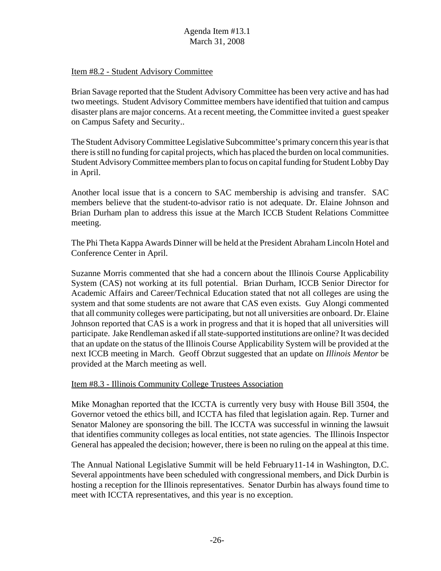#### Item #8.2 - Student Advisory Committee

Brian Savage reported that the Student Advisory Committee has been very active and has had two meetings. Student Advisory Committee members have identified that tuition and campus disaster plans are major concerns. At a recent meeting, the Committee invited a guest speaker on Campus Safety and Security..

The Student Advisory Committee Legislative Subcommittee's primary concern this year is that there is still no funding for capital projects, which has placed the burden on local communities. Student Advisory Committee members plan to focus on capital funding for Student Lobby Day in April.

Another local issue that is a concern to SAC membership is advising and transfer. SAC members believe that the student-to-advisor ratio is not adequate. Dr. Elaine Johnson and Brian Durham plan to address this issue at the March ICCB Student Relations Committee meeting.

The Phi Theta Kappa Awards Dinner will be held at the President Abraham Lincoln Hotel and Conference Center in April.

Suzanne Morris commented that she had a concern about the Illinois Course Applicability System (CAS) not working at its full potential. Brian Durham, ICCB Senior Director for Academic Affairs and Career/Technical Education stated that not all colleges are using the system and that some students are not aware that CAS even exists. Guy Alongi commented that all community colleges were participating, but not all universities are onboard. Dr. Elaine Johnson reported that CAS is a work in progress and that it is hoped that all universities will participate. Jake Rendleman asked if all state-supported institutions are online? It was decided that an update on the status of the Illinois Course Applicability System will be provided at the next ICCB meeting in March. Geoff Obrzut suggested that an update on *Illinois Mentor* be provided at the March meeting as well.

#### Item #8.3 - Illinois Community College Trustees Association

Mike Monaghan reported that the ICCTA is currently very busy with House Bill 3504, the Governor vetoed the ethics bill, and ICCTA has filed that legislation again. Rep. Turner and Senator Maloney are sponsoring the bill. The ICCTA was successful in winning the lawsuit that identifies community colleges as local entities, not state agencies. The Illinois Inspector General has appealed the decision; however, there is been no ruling on the appeal at this time.

The Annual National Legislative Summit will be held February11-14 in Washington, D.C. Several appointments have been scheduled with congressional members, and Dick Durbin is hosting a reception for the Illinois representatives. Senator Durbin has always found time to meet with ICCTA representatives, and this year is no exception.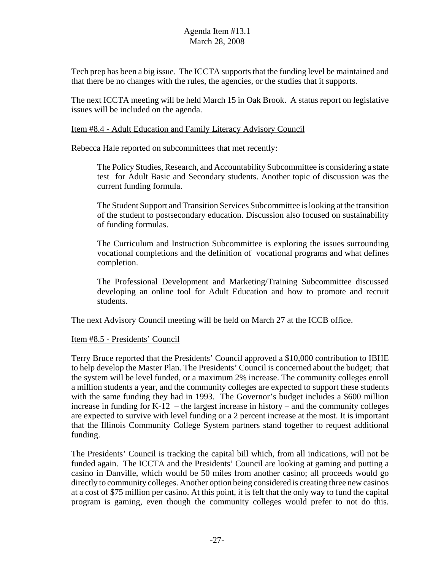Tech prep has been a big issue. The ICCTA supports that the funding level be maintained and that there be no changes with the rules, the agencies, or the studies that it supports.

The next ICCTA meeting will be held March 15 in Oak Brook. A status report on legislative issues will be included on the agenda.

#### Item #8.4 - Adult Education and Family Literacy Advisory Council

Rebecca Hale reported on subcommittees that met recently:

The Policy Studies, Research, and Accountability Subcommittee is considering a state test for Adult Basic and Secondary students. Another topic of discussion was the current funding formula.

The Student Support and Transition Services Subcommittee is looking at the transition of the student to postsecondary education. Discussion also focused on sustainability of funding formulas.

The Curriculum and Instruction Subcommittee is exploring the issues surrounding vocational completions and the definition of vocational programs and what defines completion.

The Professional Development and Marketing/Training Subcommittee discussed developing an online tool for Adult Education and how to promote and recruit students.

The next Advisory Council meeting will be held on March 27 at the ICCB office.

#### Item #8.5 - Presidents' Council

Terry Bruce reported that the Presidents' Council approved a \$10,000 contribution to IBHE to help develop the Master Plan. The Presidents' Council is concerned about the budget; that the system will be level funded, or a maximum 2% increase. The community colleges enroll a million students a year, and the community colleges are expected to support these students with the same funding they had in 1993. The Governor's budget includes a \$600 million increase in funding for  $K-12$  – the largest increase in history – and the community colleges are expected to survive with level funding or a 2 percent increase at the most. It is important that the Illinois Community College System partners stand together to request additional funding.

The Presidents' Council is tracking the capital bill which, from all indications, will not be funded again. The ICCTA and the Presidents' Council are looking at gaming and putting a casino in Danville, which would be 50 miles from another casino; all proceeds would go directly to community colleges. Another option being considered is creating three new casinos at a cost of \$75 million per casino. At this point, it is felt that the only way to fund the capital program is gaming, even though the community colleges would prefer to not do this.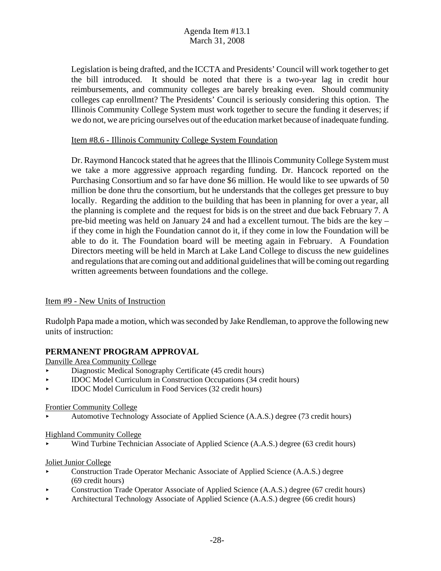Legislation is being drafted, and the ICCTA and Presidents' Council will work together to get the bill introduced. It should be noted that there is a two-year lag in credit hour reimbursements, and community colleges are barely breaking even. Should community colleges cap enrollment? The Presidents' Council is seriously considering this option. The Illinois Community College System must work together to secure the funding it deserves; if we do not, we are pricing ourselves out of the education market because of inadequate funding.

#### Item #8.6 - Illinois Community College System Foundation

Dr. Raymond Hancock stated that he agrees that the Illinois Community College System must we take a more aggressive approach regarding funding. Dr. Hancock reported on the Purchasing Consortium and so far have done \$6 million. He would like to see upwards of 50 million be done thru the consortium, but he understands that the colleges get pressure to buy locally. Regarding the addition to the building that has been in planning for over a year, all the planning is complete and the request for bids is on the street and due back February 7. A pre-bid meeting was held on January 24 and had a excellent turnout. The bids are the key – if they come in high the Foundation cannot do it, if they come in low the Foundation will be able to do it. The Foundation board will be meeting again in February. A Foundation Directors meeting will be held in March at Lake Land College to discuss the new guidelines and regulations that are coming out and additional guidelines that will be coming out regarding written agreements between foundations and the college.

#### Item #9 - New Units of Instruction

Rudolph Papa made a motion, which was seconded by Jake Rendleman, to approve the following new units of instruction:

#### **PERMANENT PROGRAM APPROVAL**

Danville Area Community College

- < Diagnostic Medical Sonography Certificate (45 credit hours)
- < IDOC Model Curriculum in Construction Occupations (34 credit hours)
- < IDOC Model Curriculum in Food Services (32 credit hours)

#### Frontier Community College

< Automotive Technology Associate of Applied Science (A.A.S.) degree (73 credit hours)

#### Highland Community College

Wind Turbine Technician Associate of Applied Science (A.A.S.) degree (63 credit hours)

#### Joliet Junior College

- Construction Trade Operator Mechanic Associate of Applied Science (A.A.S.) degree (69 credit hours)
- < Construction Trade Operator Associate of Applied Science (A.A.S.) degree (67 credit hours)
- < Architectural Technology Associate of Applied Science (A.A.S.) degree (66 credit hours)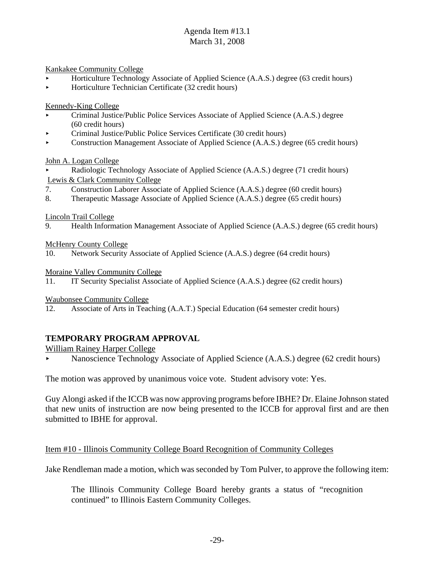Kankakee Community College

- < Horticulture Technology Associate of Applied Science (A.A.S.) degree (63 credit hours)
- < Horticulture Technician Certificate (32 credit hours)

Kennedy-King College

- Criminal Justice/Public Police Services Associate of Applied Science (A.A.S.) degree (60 credit hours)
- < Criminal Justice/Public Police Services Certificate (30 credit hours)
- < Construction Management Associate of Applied Science (A.A.S.) degree (65 credit hours)

John A. Logan College

- < Radiologic Technology Associate of Applied Science (A.A.S.) degree (71 credit hours) Lewis & Clark Community College
- 7. Construction Laborer Associate of Applied Science (A.A.S.) degree (60 credit hours)
- 8. Therapeutic Massage Associate of Applied Science (A.A.S.) degree (65 credit hours)

Lincoln Trail College

9. Health Information Management Associate of Applied Science (A.A.S.) degree (65 credit hours)

McHenry County College

10. Network Security Associate of Applied Science (A.A.S.) degree (64 credit hours)

Moraine Valley Community College

11. IT Security Specialist Associate of Applied Science (A.A.S.) degree (62 credit hours)

Waubonsee Community College

12. Associate of Arts in Teaching (A.A.T.) Special Education (64 semester credit hours)

#### **TEMPORARY PROGRAM APPROVAL**

William Rainey Harper College

Nanoscience Technology Associate of Applied Science (A.A.S.) degree (62 credit hours)

The motion was approved by unanimous voice vote. Student advisory vote: Yes.

Guy Alongi asked if the ICCB was now approving programs before IBHE? Dr. Elaine Johnson stated that new units of instruction are now being presented to the ICCB for approval first and are then submitted to IBHE for approval.

#### Item #10 - Illinois Community College Board Recognition of Community Colleges

Jake Rendleman made a motion, which was seconded by Tom Pulver, to approve the following item:

The Illinois Community College Board hereby grants a status of "recognition continued" to Illinois Eastern Community Colleges.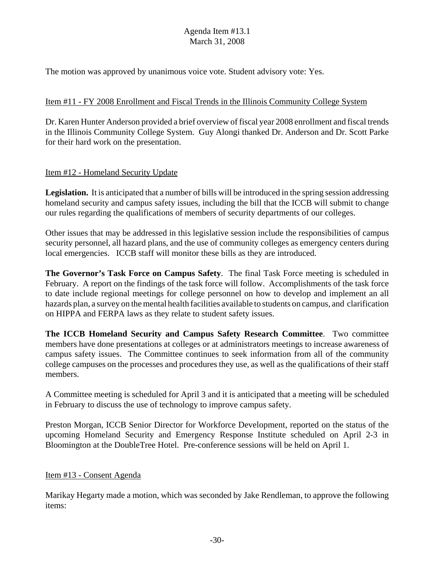The motion was approved by unanimous voice vote. Student advisory vote: Yes.

# Item #11 - FY 2008 Enrollment and Fiscal Trends in the Illinois Community College System

Dr. Karen Hunter Anderson provided a brief overview of fiscal year 2008 enrollment and fiscal trends in the Illinois Community College System. Guy Alongi thanked Dr. Anderson and Dr. Scott Parke for their hard work on the presentation.

# Item #12 - Homeland Security Update

**Legislation.** It is anticipated that a number of bills will be introduced in the spring session addressing homeland security and campus safety issues, including the bill that the ICCB will submit to change our rules regarding the qualifications of members of security departments of our colleges.

Other issues that may be addressed in this legislative session include the responsibilities of campus security personnel, all hazard plans, and the use of community colleges as emergency centers during local emergencies. ICCB staff will monitor these bills as they are introduced.

**The Governor's Task Force on Campus Safety**. The final Task Force meeting is scheduled in February. A report on the findings of the task force will follow. Accomplishments of the task force to date include regional meetings for college personnel on how to develop and implement an all hazards plan, a survey on the mental health facilities available to students on campus, and clarification on HIPPA and FERPA laws as they relate to student safety issues.

**The ICCB Homeland Security and Campus Safety Research Committee**. Two committee members have done presentations at colleges or at administrators meetings to increase awareness of campus safety issues. The Committee continues to seek information from all of the community college campuses on the processes and procedures they use, as well as the qualifications of their staff members.

A Committee meeting is scheduled for April 3 and it is anticipated that a meeting will be scheduled in February to discuss the use of technology to improve campus safety.

Preston Morgan, ICCB Senior Director for Workforce Development, reported on the status of the upcoming Homeland Security and Emergency Response Institute scheduled on April 2-3 in Bloomington at the DoubleTree Hotel. Pre-conference sessions will be held on April 1.

#### Item #13 - Consent Agenda

Marikay Hegarty made a motion, which was seconded by Jake Rendleman, to approve the following items: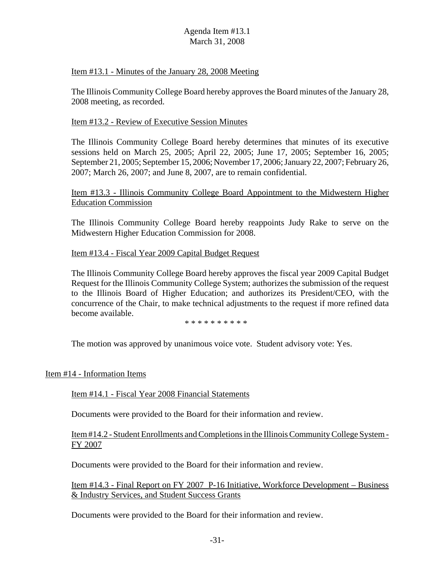#### Item #13.1 - Minutes of the January 28, 2008 Meeting

The Illinois Community College Board hereby approves the Board minutes of the January 28, 2008 meeting, as recorded.

#### Item #13.2 - Review of Executive Session Minutes

The Illinois Community College Board hereby determines that minutes of its executive sessions held on March 25, 2005; April 22, 2005; June 17, 2005; September 16, 2005; September 21, 2005; September 15, 2006; November 17, 2006; January 22, 2007; February 26, 2007; March 26, 2007; and June 8, 2007, are to remain confidential.

#### Item #13.3 - Illinois Community College Board Appointment to the Midwestern Higher Education Commission

The Illinois Community College Board hereby reappoints Judy Rake to serve on the Midwestern Higher Education Commission for 2008.

#### Item #13.4 - Fiscal Year 2009 Capital Budget Request

The Illinois Community College Board hereby approves the fiscal year 2009 Capital Budget Request for the Illinois Community College System; authorizes the submission of the request to the Illinois Board of Higher Education; and authorizes its President/CEO, with the concurrence of the Chair, to make technical adjustments to the request if more refined data become available.

\* \* \* \* \* \* \* \* \* \*

The motion was approved by unanimous voice vote. Student advisory vote: Yes.

#### Item #14 - Information Items

#### Item #14.1 - Fiscal Year 2008 Financial Statements

Documents were provided to the Board for their information and review.

#### Item #14.2 - Student Enrollments and Completions in the Illinois Community College System - FY 2007

Documents were provided to the Board for their information and review.

Item #14.3 - Final Report on FY 2007 P-16 Initiative, Workforce Development – Business & Industry Services, and Student Success Grants

Documents were provided to the Board for their information and review.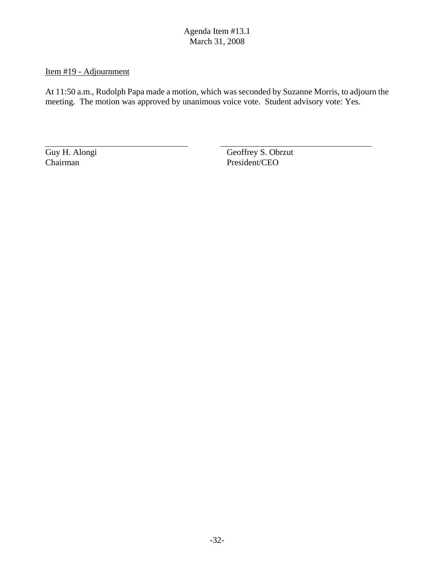#### Item #19 - Adjournment

At 11:50 a.m., Rudolph Papa made a motion, which was seconded by Suzanne Morris, to adjourn the meeting. The motion was approved by unanimous voice vote. Student advisory vote: Yes.

Guy H. Alongi Geoffrey S. Obrzut Chairman President/CEO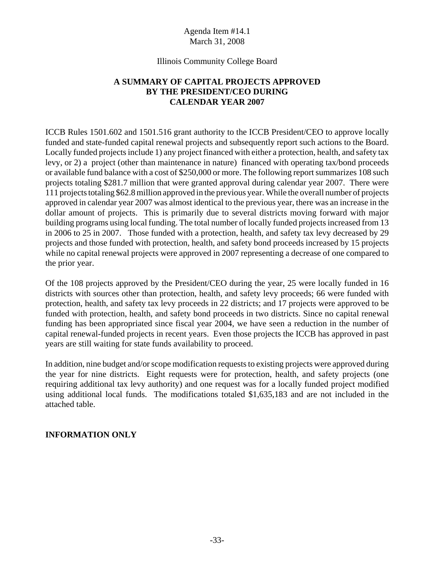#### Illinois Community College Board

# **A SUMMARY OF CAPITAL PROJECTS APPROVED BY THE PRESIDENT/CEO DURING CALENDAR YEAR 2007**

ICCB Rules 1501.602 and 1501.516 grant authority to the ICCB President/CEO to approve locally funded and state-funded capital renewal projects and subsequently report such actions to the Board. Locally funded projects include 1) any project financed with either a protection, health, and safety tax levy, or 2) a project (other than maintenance in nature) financed with operating tax/bond proceeds or available fund balance with a cost of \$250,000 or more. The following report summarizes 108 such projects totaling \$281.7 million that were granted approval during calendar year 2007. There were 111 projects totaling \$62.8 million approved in the previous year. While the overall number of projects approved in calendar year 2007 was almost identical to the previous year, there was an increase in the dollar amount of projects. This is primarily due to several districts moving forward with major building programs using local funding. The total number of locally funded projects increased from 13 in 2006 to 25 in 2007. Those funded with a protection, health, and safety tax levy decreased by 29 projects and those funded with protection, health, and safety bond proceeds increased by 15 projects while no capital renewal projects were approved in 2007 representing a decrease of one compared to the prior year.

Of the 108 projects approved by the President/CEO during the year, 25 were locally funded in 16 districts with sources other than protection, health, and safety levy proceeds; 66 were funded with protection, health, and safety tax levy proceeds in 22 districts; and 17 projects were approved to be funded with protection, health, and safety bond proceeds in two districts. Since no capital renewal funding has been appropriated since fiscal year 2004, we have seen a reduction in the number of capital renewal-funded projects in recent years. Even those projects the ICCB has approved in past years are still waiting for state funds availability to proceed.

In addition, nine budget and/or scope modification requests to existing projects were approved during the year for nine districts. Eight requests were for protection, health, and safety projects (one requiring additional tax levy authority) and one request was for a locally funded project modified using additional local funds. The modifications totaled \$1,635,183 and are not included in the attached table.

#### **INFORMATION ONLY**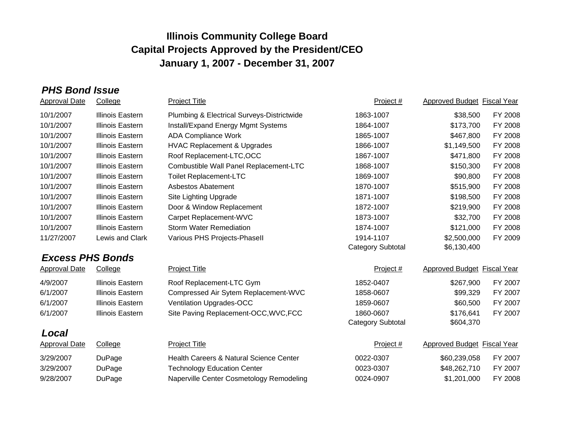# *PHS Bond Issue*

| <b>Approval Date</b> | College                 | <b>Project Title</b>                       | Project #                | <b>Approved Budget Fiscal Year</b> |         |  |  |  |
|----------------------|-------------------------|--------------------------------------------|--------------------------|------------------------------------|---------|--|--|--|
| 10/1/2007            | Illinois Eastern        | Plumbing & Electrical Surveys-Districtwide | 1863-1007                | \$38,500                           | FY 2008 |  |  |  |
| 10/1/2007            | Illinois Eastern        | Install/Expand Energy Mgmt Systems         | 1864-1007                | \$173,700                          | FY 2008 |  |  |  |
| 10/1/2007            | Illinois Eastern        | <b>ADA Compliance Work</b>                 | 1865-1007                | \$467,800                          | FY 2008 |  |  |  |
| 10/1/2007            | Illinois Eastern        | <b>HVAC Replacement &amp; Upgrades</b>     | 1866-1007                | \$1,149,500                        | FY 2008 |  |  |  |
| 10/1/2007            | Illinois Eastern        | Roof Replacement-LTC, OCC                  | 1867-1007                | \$471,800                          | FY 2008 |  |  |  |
| 10/1/2007            | Illinois Eastern        | Combustible Wall Panel Replacement-LTC     | 1868-1007                | \$150,300                          | FY 2008 |  |  |  |
| 10/1/2007            | Illinois Eastern        | <b>Toilet Replacement-LTC</b>              | 1869-1007                | \$90,800                           | FY 2008 |  |  |  |
| 10/1/2007            | Illinois Eastern        | Asbestos Abatement                         | 1870-1007                | \$515,900                          | FY 2008 |  |  |  |
| 10/1/2007            | Illinois Eastern        | Site Lighting Upgrade                      | 1871-1007                | \$198,500                          | FY 2008 |  |  |  |
| 10/1/2007            | Illinois Eastern        | Door & Window Replacement                  | 1872-1007                | \$219,900                          | FY 2008 |  |  |  |
| 10/1/2007            | Illinois Eastern        | Carpet Replacement-WVC                     | 1873-1007                | \$32,700                           | FY 2008 |  |  |  |
| 10/1/2007            | Illinois Eastern        | <b>Storm Water Remediation</b>             | 1874-1007                | \$121,000                          | FY 2008 |  |  |  |
| 11/27/2007           | Lewis and Clark         | Various PHS Projects-Phasell               | 1914-1107                | \$2,500,000                        | FY 2009 |  |  |  |
|                      |                         |                                            | <b>Category Subtotal</b> | \$6,130,400                        |         |  |  |  |
|                      | <b>Excess PHS Bonds</b> |                                            |                          |                                    |         |  |  |  |

| 1852-0407                                          | \$267.900                | FY 2007 |
|----------------------------------------------------|--------------------------|---------|
| Compressed Air Sytem Replacement-WVC<br>1858-0607  | \$99,329                 | FY 2007 |
| 1859-0607                                          | \$60,500                 | FY 2007 |
| Site Paving Replacement-OCC, WVC, FCC<br>1860-0607 | \$176,641<br>\$604,370   | FY 2007 |
|                                                    | <b>Category Subtotal</b> |         |

| Local |  |
|-------|--|
|       |  |

| -----         |         |                                          |           |                             |         |
|---------------|---------|------------------------------------------|-----------|-----------------------------|---------|
| Approval Date | College | Project Title                            | Project # | Approved Budget Fiscal Year |         |
| 3/29/2007     | DuPage  | Health Careers & Natural Science Center  | 0022-0307 | \$60.239.058                | FY 2007 |
| 3/29/2007     | DuPage  | <b>Technology Education Center</b>       | 0023-0307 | \$48.262.710                | FY 2007 |
| 9/28/2007     | DuPage  | Naperville Center Cosmetology Remodeling | 0024-0907 | \$1.201.000                 | FY 2008 |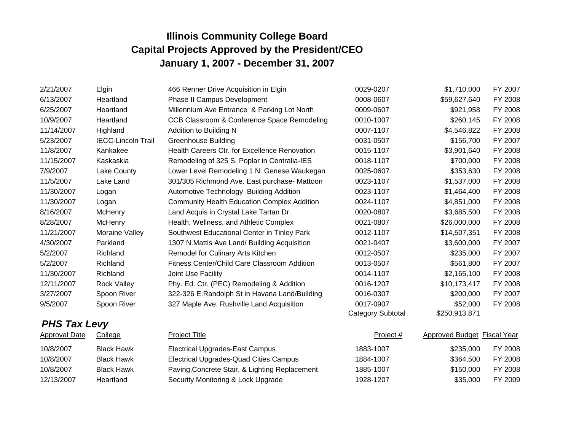| 2/21/2007            | Elgin                     | 466 Renner Drive Acquisition in Elgin              | 0029-0207                | \$1,710,000                 | FY 2007 |
|----------------------|---------------------------|----------------------------------------------------|--------------------------|-----------------------------|---------|
| 6/13/2007            | Heartland                 | <b>Phase II Campus Development</b>                 | 0008-0607                | \$59,627,640                | FY 2008 |
| 6/25/2007            | Heartland                 | Millennium Ave Entrance & Parking Lot North        | 0009-0607                | \$921,958                   | FY 2008 |
| 10/9/2007            | Heartland                 | CCB Classroom & Conference Space Remodeling        | 0010-1007                | \$260,145                   | FY 2008 |
| 11/14/2007           | Highland                  | Addition to Building N                             | 0007-1107                | \$4,546,822                 | FY 2008 |
| 5/23/2007            | <b>IECC-Lincoln Trail</b> | <b>Greenhouse Building</b>                         | 0031-0507                | \$156,700                   | FY 2007 |
| 11/8/2007            | Kankakee                  | Health Careers Ctr. for Excellence Renovation      | 0015-1107                | \$3,901,640                 | FY 2008 |
| 11/15/2007           | Kaskaskia                 | Remodeling of 325 S. Poplar in Centralia-IES       | 0018-1107                | \$700,000                   | FY 2008 |
| 7/9/2007             | Lake County               | Lower Level Remodeling 1 N. Genese Waukegan        | 0025-0607                | \$353,630                   | FY 2008 |
| 11/5/2007            | Lake Land                 | 301/305 Richmond Ave. East purchase- Mattoon       | 0023-1107                | \$1,537,000                 | FY 2008 |
| 11/30/2007           | Logan                     | Automotive Technology Building Addition            | 0023-1107                | \$1,464,400                 | FY 2008 |
| 11/30/2007           | Logan                     | <b>Community Health Education Complex Addition</b> | 0024-1107                | \$4,851,000                 | FY 2008 |
| 8/16/2007            | <b>McHenry</b>            | Land Acquis in Crystal Lake: Tartan Dr.            | 0020-0807                | \$3,685,500                 | FY 2008 |
| 8/28/2007            | McHenry                   | Health, Wellness, and Athletic Complex             | 0021-0807                | \$26,000,000                | FY 2008 |
| 11/21/2007           | Moraine Valley            | Southwest Educational Center in Tinley Park        | 0012-1107                | \$14,507,351                | FY 2008 |
| 4/30/2007            | Parkland                  | 1307 N.Mattis Ave Land/ Building Acquisition       | 0021-0407                | \$3,600,000                 | FY 2007 |
| 5/2/2007             | Richland                  | Remodel for Culinary Arts Kitchen                  | 0012-0507                | \$235,000                   | FY 2007 |
| 5/2/2007             | Richland                  | Fitness Center/Child Care Classroom Addition       | 0013-0507                | \$561,800                   | FY 2007 |
| 11/30/2007           | Richland                  | Joint Use Facility                                 | 0014-1107                | \$2,165,100                 | FY 2008 |
| 12/11/2007           | <b>Rock Valley</b>        | Phy. Ed. Ctr. (PEC) Remodeling & Addition          | 0016-1207                | \$10,173,417                | FY 2008 |
| 3/27/2007            | Spoon River               | 322-326 E.Randolph St in Havana Land/Building      | 0016-0307                | \$200,000                   | FY 2007 |
| 9/5/2007             | Spoon River               | 327 Maple Ave. Rushville Land Acquisition          | 0017-0907                | \$52,000                    | FY 2008 |
|                      |                           |                                                    | <b>Category Subtotal</b> | \$250,913,871               |         |
| <b>PHS Tax Levy</b>  |                           |                                                    |                          |                             |         |
| <b>Approval Date</b> | College                   | <b>Project Title</b>                               | Project #                | Approved Budget Fiscal Year |         |
| 10/8/2007            | <b>Black Hawk</b>         | <b>Electrical Upgrades-East Campus</b>             | 1883-1007                | \$235,000                   | FY 2008 |
| 10/8/2007            | <b>Black Hawk</b>         | <b>Electrical Upgrades-Quad Cities Campus</b>      | 1884-1007                | \$364,500                   | FY 2008 |
| 10/8/2007            | <b>Black Hawk</b>         | Paving, Concrete Stair, & Lighting Replacement     | 1885-1007                | \$150,000                   | FY 2008 |

12/13/2007 Heartland Security Monitoring & Lock Upgrade 1928-1207 \$35,000 FY 2009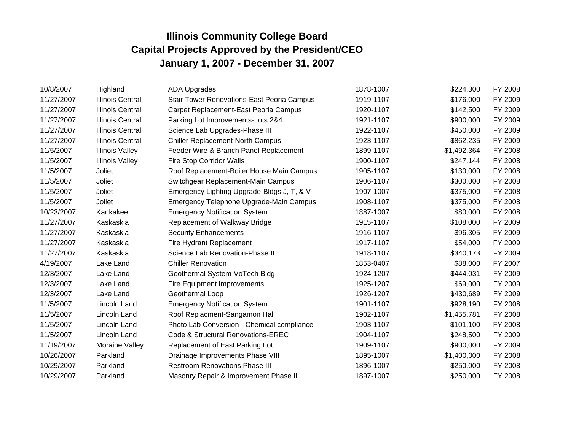| 10/8/2007  | Highland                | <b>ADA Upgrades</b>                               | 1878-1007 | \$224,300   | FY 2008 |
|------------|-------------------------|---------------------------------------------------|-----------|-------------|---------|
| 11/27/2007 | <b>Illinois Central</b> | <b>Stair Tower Renovations-East Peoria Campus</b> | 1919-1107 | \$176,000   | FY 2009 |
| 11/27/2007 | <b>Illinois Central</b> | Carpet Replacement-East Peoria Campus             | 1920-1107 | \$142,500   | FY 2009 |
| 11/27/2007 | <b>Illinois Central</b> | Parking Lot Improvements-Lots 2&4                 | 1921-1107 | \$900,000   | FY 2009 |
| 11/27/2007 | <b>Illinois Central</b> | Science Lab Upgrades-Phase III                    | 1922-1107 | \$450,000   | FY 2009 |
| 11/27/2007 | <b>Illinois Central</b> | <b>Chiller Replacement-North Campus</b>           | 1923-1107 | \$862,235   | FY 2009 |
| 11/5/2007  | <b>Illinois Valley</b>  | Feeder Wire & Branch Panel Replacement            | 1899-1107 | \$1,492,364 | FY 2008 |
| 11/5/2007  | <b>Illinois Valley</b>  | Fire Stop Corridor Walls                          | 1900-1107 | \$247,144   | FY 2008 |
| 11/5/2007  | Joliet                  | Roof Replacement-Boiler House Main Campus         | 1905-1107 | \$130,000   | FY 2008 |
| 11/5/2007  | Joliet                  | Switchgear Replacement-Main Campus                | 1906-1107 | \$300,000   | FY 2008 |
| 11/5/2007  | Joliet                  | Emergency Lighting Upgrade-Bldgs J, T, & V        | 1907-1007 | \$375,000   | FY 2008 |
| 11/5/2007  | Joliet                  | Emergency Telephone Upgrade-Main Campus           | 1908-1107 | \$375,000   | FY 2008 |
| 10/23/2007 | Kankakee                | <b>Emergency Notification System</b>              | 1887-1007 | \$80,000    | FY 2008 |
| 11/27/2007 | Kaskaskia               | Replacement of Walkway Bridge                     | 1915-1107 | \$108,000   | FY 2009 |
| 11/27/2007 | Kaskaskia               | <b>Security Enhancements</b>                      | 1916-1107 | \$96,305    | FY 2009 |
| 11/27/2007 | Kaskaskia               | Fire Hydrant Replacement                          | 1917-1107 | \$54,000    | FY 2009 |
| 11/27/2007 | Kaskaskia               | Science Lab Renovation-Phase II                   | 1918-1107 | \$340,173   | FY 2009 |
| 4/19/2007  | Lake Land               | <b>Chiller Renovation</b>                         | 1853-0407 | \$88,000    | FY 2007 |
| 12/3/2007  | Lake Land               | Geothermal System-VoTech Bldg                     | 1924-1207 | \$444,031   | FY 2009 |
| 12/3/2007  | Lake Land               | <b>Fire Equipment Improvements</b>                | 1925-1207 | \$69,000    | FY 2009 |
| 12/3/2007  | Lake Land               | Geothermal Loop                                   | 1926-1207 | \$430,689   | FY 2009 |
| 11/5/2007  | Lincoln Land            | <b>Emergency Notification System</b>              | 1901-1107 | \$928,190   | FY 2008 |
| 11/5/2007  | Lincoln Land            | Roof Replacment-Sangamon Hall                     | 1902-1107 | \$1,455,781 | FY 2008 |
| 11/5/2007  | Lincoln Land            | Photo Lab Conversion - Chemical compliance        | 1903-1107 | \$101,100   | FY 2008 |
| 11/5/2007  | Lincoln Land            | Code & Structural Renovations-EREC                | 1904-1107 | \$248,500   | FY 2009 |
| 11/19/2007 | Moraine Valley          | Replacement of East Parking Lot                   | 1909-1107 | \$900,000   | FY 2009 |
| 10/26/2007 | Parkland                | Drainage Improvements Phase VIII                  | 1895-1007 | \$1,400,000 | FY 2008 |
| 10/29/2007 | Parkland                | <b>Restroom Renovations Phase III</b>             | 1896-1007 | \$250,000   | FY 2008 |
| 10/29/2007 | Parkland                | Masonry Repair & Improvement Phase II             | 1897-1007 | \$250,000   | FY 2008 |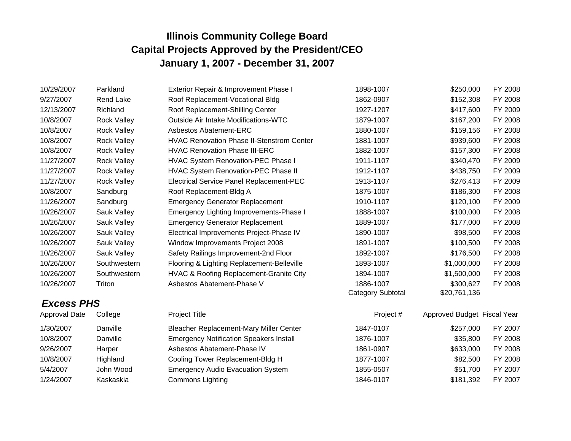| 10/29/2007           | Parkland           | Exterior Repair & Improvement Phase I            | 1898-1007                | \$250,000                   | FY 2008 |
|----------------------|--------------------|--------------------------------------------------|--------------------------|-----------------------------|---------|
| 9/27/2007            | Rend Lake          | Roof Replacement-Vocational Bldg                 | 1862-0907                | \$152,308                   | FY 2008 |
| 12/13/2007           | Richland           | Roof Replacement-Shilling Center                 | 1927-1207                | \$417,600                   | FY 2009 |
| 10/8/2007            | <b>Rock Valley</b> | Outside Air Intake Modifications-WTC             | 1879-1007                | \$167,200                   | FY 2008 |
| 10/8/2007            | <b>Rock Valley</b> | <b>Asbestos Abatement-ERC</b>                    | 1880-1007                | \$159,156                   | FY 2008 |
| 10/8/2007            | <b>Rock Valley</b> | <b>HVAC Renovation Phase II-Stenstrom Center</b> | 1881-1007                | \$939,600                   | FY 2008 |
| 10/8/2007            | <b>Rock Valley</b> | <b>HVAC Renovation Phase III-ERC</b>             | 1882-1007                | \$157,300                   | FY 2008 |
| 11/27/2007           | <b>Rock Valley</b> | HVAC System Renovation-PEC Phase I               | 1911-1107                | \$340,470                   | FY 2009 |
| 11/27/2007           | <b>Rock Valley</b> | <b>HVAC System Renovation-PEC Phase II</b>       | 1912-1107                | \$438,750                   | FY 2009 |
| 11/27/2007           | <b>Rock Valley</b> | <b>Electrical Service Panel Replacement-PEC</b>  | 1913-1107                | \$276,413                   | FY 2009 |
| 10/8/2007            | Sandburg           | Roof Replacement-Bldg A                          | 1875-1007                | \$186,300                   | FY 2008 |
| 11/26/2007           | Sandburg           | <b>Emergency Generator Replacement</b>           | 1910-1107                | \$120,100                   | FY 2009 |
| 10/26/2007           | Sauk Valley        | <b>Emergency Lighting Improvements-Phase I</b>   | 1888-1007                | \$100,000                   | FY 2008 |
| 10/26/2007           | Sauk Valley        | <b>Emergency Generator Replacement</b>           | 1889-1007                | \$177,000                   | FY 2008 |
| 10/26/2007           | Sauk Valley        | Electrical Improvements Project-Phase IV         | 1890-1007                | \$98,500                    | FY 2008 |
| 10/26/2007           | Sauk Valley        | Window Improvements Project 2008                 | 1891-1007                | \$100,500                   | FY 2008 |
| 10/26/2007           | Sauk Valley        | Safety Railings Improvement-2nd Floor            | 1892-1007                | \$176,500                   | FY 2008 |
| 10/26/2007           | Southwestern       | Flooring & Lighting Replacement-Belleville       | 1893-1007                | \$1,000,000                 | FY 2008 |
| 10/26/2007           | Southwestern       | HVAC & Roofing Replacement-Granite City          | 1894-1007                | \$1,500,000                 | FY 2008 |
| 10/26/2007           | Triton             | Asbestos Abatement-Phase V                       | 1886-1007                | \$300,627                   | FY 2008 |
|                      |                    |                                                  | <b>Category Subtotal</b> | \$20,761,136                |         |
| <b>Excess PHS</b>    |                    |                                                  |                          |                             |         |
| <b>Approval Date</b> | College            | <b>Project Title</b>                             | Project #                | Approved Budget Fiscal Year |         |
| 1/30/2007            | Danville           | <b>Bleacher Replacement-Mary Miller Center</b>   | 1847-0107                | \$257,000                   | FY 2007 |
| 10/8/2007            | Danville           | <b>Emergency Notification Speakers Install</b>   | 1876-1007                | \$35,800                    | FY 2008 |
| 9/26/2007            | Harper             | Asbestos Abatement-Phase IV                      | 1861-0907                | \$633,000                   | FY 2008 |
| 10/8/2007            | Highland           | Cooling Tower Replacement-Bldg H                 | 1877-1007                | \$82,500                    | FY 2008 |
| 5/4/2007             | John Wood          | <b>Emergency Audio Evacuation System</b>         | 1855-0507                | \$51,700                    | FY 2007 |

1/24/2007 Kaskaskia Commons Lighting Commons Commons Highting 1846-0107 \$181,392 FY 2007